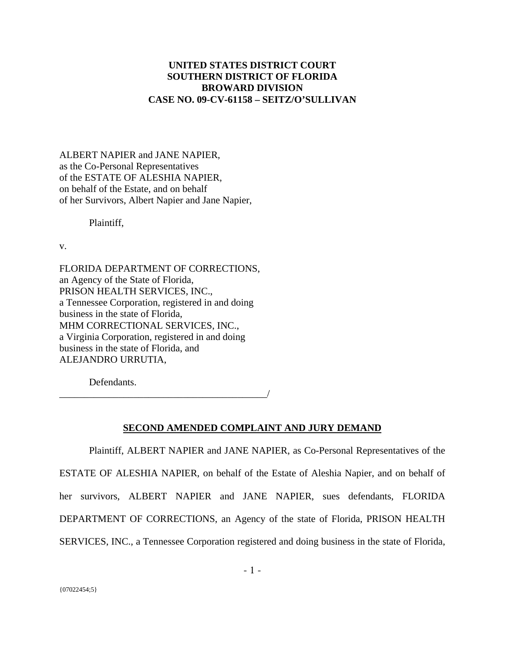# **UNITED STATES DISTRICT COURT SOUTHERN DISTRICT OF FLORIDA BROWARD DIVISION CASE NO. 09-CV-61158 – SEITZ/O'SULLIVAN**

ALBERT NAPIER and JANE NAPIER, as the Co-Personal Representatives of the ESTATE OF ALESHIA NAPIER, on behalf of the Estate, and on behalf of her Survivors, Albert Napier and Jane Napier,

Plaintiff,

v.

FLORIDA DEPARTMENT OF CORRECTIONS, an Agency of the State of Florida, PRISON HEALTH SERVICES, INC., a Tennessee Corporation, registered in and doing business in the state of Florida, MHM CORRECTIONAL SERVICES, INC., a Virginia Corporation, registered in and doing business in the state of Florida, and ALEJANDRO URRUTIA,

\_\_\_\_\_\_\_\_\_\_\_\_\_\_\_\_\_\_\_\_\_\_\_\_\_\_\_\_\_\_\_\_\_\_\_\_\_\_\_\_\_\_/

Defendants.

#### **SECOND AMENDED COMPLAINT AND JURY DEMAND**

 Plaintiff, ALBERT NAPIER and JANE NAPIER, as Co-Personal Representatives of the ESTATE OF ALESHIA NAPIER, on behalf of the Estate of Aleshia Napier, and on behalf of her survivors, ALBERT NAPIER and JANE NAPIER, sues defendants, FLORIDA DEPARTMENT OF CORRECTIONS, an Agency of the state of Florida, PRISON HEALTH SERVICES, INC., a Tennessee Corporation registered and doing business in the state of Florida,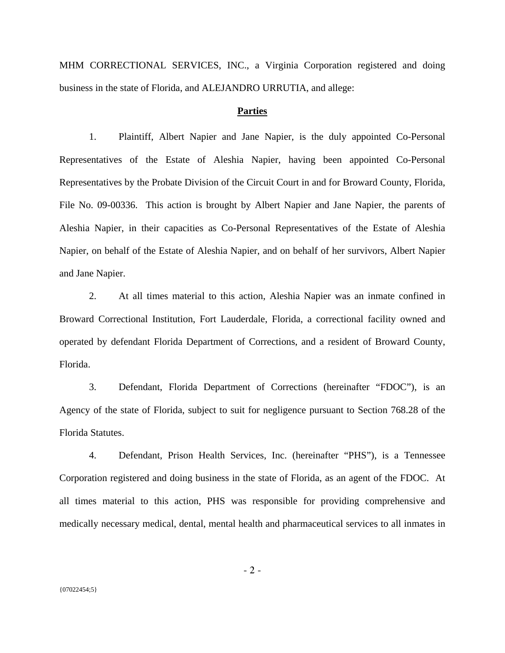MHM CORRECTIONAL SERVICES, INC., a Virginia Corporation registered and doing business in the state of Florida, and ALEJANDRO URRUTIA, and allege:

#### **Parties**

1. Plaintiff, Albert Napier and Jane Napier, is the duly appointed Co-Personal Representatives of the Estate of Aleshia Napier, having been appointed Co-Personal Representatives by the Probate Division of the Circuit Court in and for Broward County, Florida, File No. 09-00336. This action is brought by Albert Napier and Jane Napier, the parents of Aleshia Napier, in their capacities as Co-Personal Representatives of the Estate of Aleshia Napier, on behalf of the Estate of Aleshia Napier, and on behalf of her survivors, Albert Napier and Jane Napier.

2. At all times material to this action, Aleshia Napier was an inmate confined in Broward Correctional Institution, Fort Lauderdale, Florida, a correctional facility owned and operated by defendant Florida Department of Corrections, and a resident of Broward County, Florida.

3. Defendant, Florida Department of Corrections (hereinafter "FDOC"), is an Agency of the state of Florida, subject to suit for negligence pursuant to Section 768.28 of the Florida Statutes.

4. Defendant, Prison Health Services, Inc. (hereinafter "PHS"), is a Tennessee Corporation registered and doing business in the state of Florida, as an agent of the FDOC. At all times material to this action, PHS was responsible for providing comprehensive and medically necessary medical, dental, mental health and pharmaceutical services to all inmates in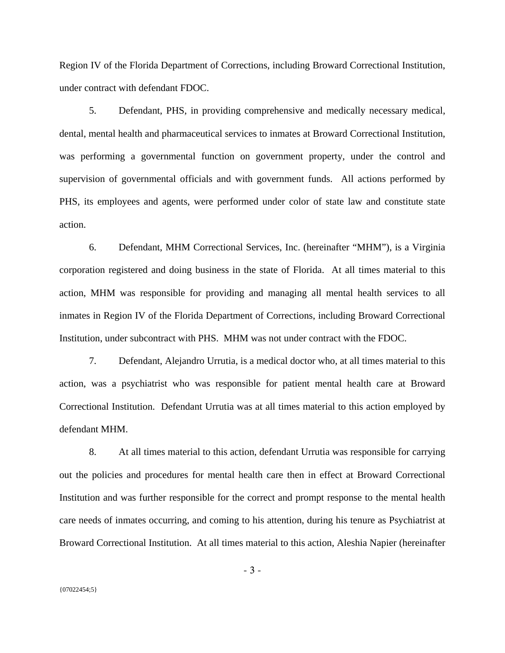Region IV of the Florida Department of Corrections, including Broward Correctional Institution, under contract with defendant FDOC.

5. Defendant, PHS, in providing comprehensive and medically necessary medical, dental, mental health and pharmaceutical services to inmates at Broward Correctional Institution, was performing a governmental function on government property, under the control and supervision of governmental officials and with government funds. All actions performed by PHS, its employees and agents, were performed under color of state law and constitute state action.

6. Defendant, MHM Correctional Services, Inc. (hereinafter "MHM"), is a Virginia corporation registered and doing business in the state of Florida. At all times material to this action, MHM was responsible for providing and managing all mental health services to all inmates in Region IV of the Florida Department of Corrections, including Broward Correctional Institution, under subcontract with PHS. MHM was not under contract with the FDOC.

7. Defendant, Alejandro Urrutia, is a medical doctor who, at all times material to this action, was a psychiatrist who was responsible for patient mental health care at Broward Correctional Institution. Defendant Urrutia was at all times material to this action employed by defendant MHM.

8. At all times material to this action, defendant Urrutia was responsible for carrying out the policies and procedures for mental health care then in effect at Broward Correctional Institution and was further responsible for the correct and prompt response to the mental health care needs of inmates occurring, and coming to his attention, during his tenure as Psychiatrist at Broward Correctional Institution. At all times material to this action, Aleshia Napier (hereinafter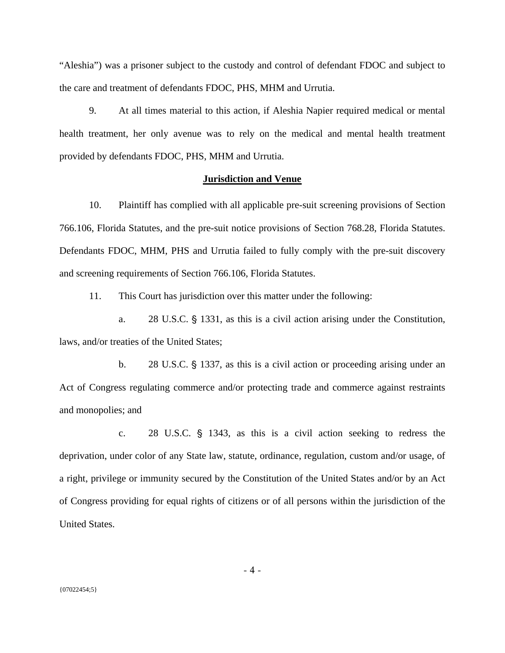"Aleshia") was a prisoner subject to the custody and control of defendant FDOC and subject to the care and treatment of defendants FDOC, PHS, MHM and Urrutia.

9. At all times material to this action, if Aleshia Napier required medical or mental health treatment, her only avenue was to rely on the medical and mental health treatment provided by defendants FDOC, PHS, MHM and Urrutia.

#### **Jurisdiction and Venue**

10. Plaintiff has complied with all applicable pre-suit screening provisions of Section 766.106, Florida Statutes, and the pre-suit notice provisions of Section 768.28, Florida Statutes. Defendants FDOC, MHM, PHS and Urrutia failed to fully comply with the pre-suit discovery and screening requirements of Section 766.106, Florida Statutes.

11. This Court has jurisdiction over this matter under the following:

a. 28 U.S.C. § 1331, as this is a civil action arising under the Constitution, laws, and/or treaties of the United States;

b. 28 U.S.C. § 1337, as this is a civil action or proceeding arising under an Act of Congress regulating commerce and/or protecting trade and commerce against restraints and monopolies; and

c. 28 U.S.C.  $\S$  1343, as this is a civil action seeking to redress the deprivation, under color of any State law, statute, ordinance, regulation, custom and/or usage, of a right, privilege or immunity secured by the Constitution of the United States and/or by an Act of Congress providing for equal rights of citizens or of all persons within the jurisdiction of the United States.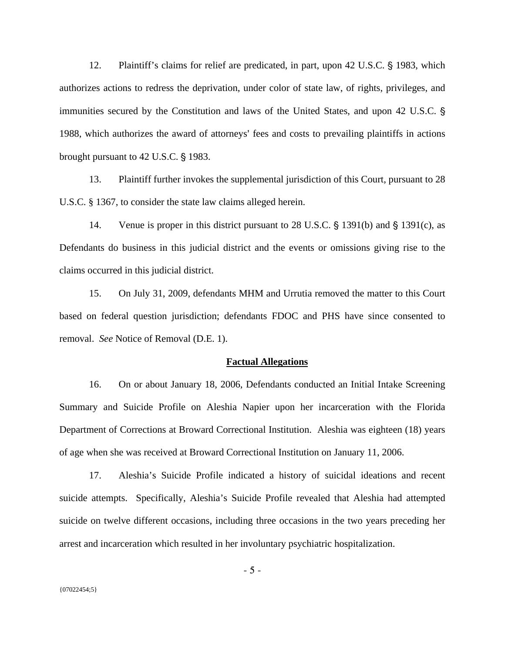12. Plaintiff's claims for relief are predicated, in part, upon 42 U.S.C. § 1983, which authorizes actions to redress the deprivation, under color of state law, of rights, privileges, and immunities secured by the Constitution and laws of the United States, and upon 42 U.S.C. ' 1988, which authorizes the award of attorneys' fees and costs to prevailing plaintiffs in actions brought pursuant to  $42$  U.S.C. § 1983.

13. Plaintiff further invokes the supplemental jurisdiction of this Court, pursuant to 28 U.S.C. § 1367, to consider the state law claims alleged herein.

14. Venue is proper in this district pursuant to 28 U.S.C.  $\S$  1391(b) and  $\S$  1391(c), as Defendants do business in this judicial district and the events or omissions giving rise to the claims occurred in this judicial district.

15. On July 31, 2009, defendants MHM and Urrutia removed the matter to this Court based on federal question jurisdiction; defendants FDOC and PHS have since consented to removal. *See* Notice of Removal (D.E. 1).

#### **Factual Allegations**

16. On or about January 18, 2006, Defendants conducted an Initial Intake Screening Summary and Suicide Profile on Aleshia Napier upon her incarceration with the Florida Department of Corrections at Broward Correctional Institution. Aleshia was eighteen (18) years of age when she was received at Broward Correctional Institution on January 11, 2006.

17. Aleshia's Suicide Profile indicated a history of suicidal ideations and recent suicide attempts. Specifically, Aleshia's Suicide Profile revealed that Aleshia had attempted suicide on twelve different occasions, including three occasions in the two years preceding her arrest and incarceration which resulted in her involuntary psychiatric hospitalization.

- 5 -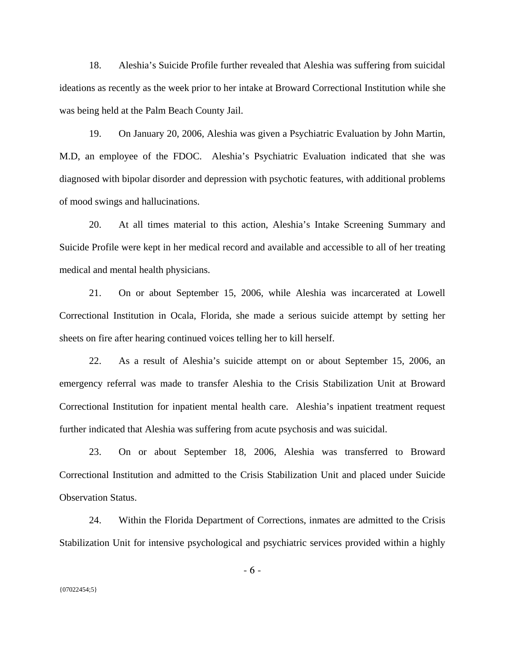18. Aleshia's Suicide Profile further revealed that Aleshia was suffering from suicidal ideations as recently as the week prior to her intake at Broward Correctional Institution while she was being held at the Palm Beach County Jail.

19. On January 20, 2006, Aleshia was given a Psychiatric Evaluation by John Martin, M.D, an employee of the FDOC. Aleshia's Psychiatric Evaluation indicated that she was diagnosed with bipolar disorder and depression with psychotic features, with additional problems of mood swings and hallucinations.

20. At all times material to this action, Aleshia's Intake Screening Summary and Suicide Profile were kept in her medical record and available and accessible to all of her treating medical and mental health physicians.

21. On or about September 15, 2006, while Aleshia was incarcerated at Lowell Correctional Institution in Ocala, Florida, she made a serious suicide attempt by setting her sheets on fire after hearing continued voices telling her to kill herself.

22. As a result of Aleshia's suicide attempt on or about September 15, 2006, an emergency referral was made to transfer Aleshia to the Crisis Stabilization Unit at Broward Correctional Institution for inpatient mental health care. Aleshia's inpatient treatment request further indicated that Aleshia was suffering from acute psychosis and was suicidal.

23. On or about September 18, 2006, Aleshia was transferred to Broward Correctional Institution and admitted to the Crisis Stabilization Unit and placed under Suicide Observation Status.

24. Within the Florida Department of Corrections, inmates are admitted to the Crisis Stabilization Unit for intensive psychological and psychiatric services provided within a highly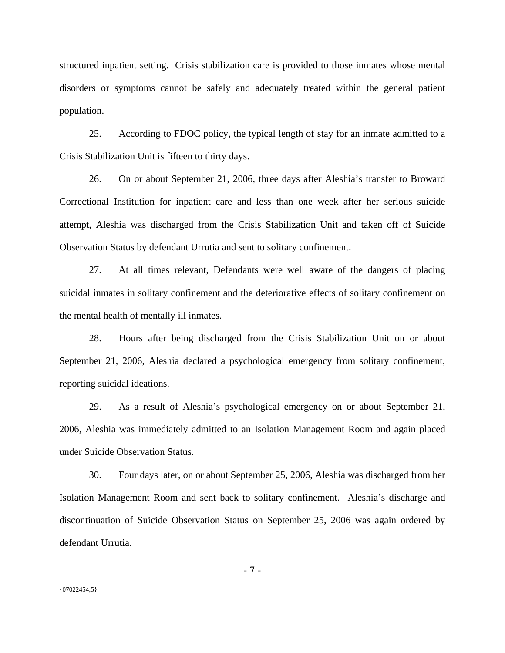structured inpatient setting. Crisis stabilization care is provided to those inmates whose mental disorders or symptoms cannot be safely and adequately treated within the general patient population.

25. According to FDOC policy, the typical length of stay for an inmate admitted to a Crisis Stabilization Unit is fifteen to thirty days.

26. On or about September 21, 2006, three days after Aleshia's transfer to Broward Correctional Institution for inpatient care and less than one week after her serious suicide attempt, Aleshia was discharged from the Crisis Stabilization Unit and taken off of Suicide Observation Status by defendant Urrutia and sent to solitary confinement.

27. At all times relevant, Defendants were well aware of the dangers of placing suicidal inmates in solitary confinement and the deteriorative effects of solitary confinement on the mental health of mentally ill inmates.

28. Hours after being discharged from the Crisis Stabilization Unit on or about September 21, 2006, Aleshia declared a psychological emergency from solitary confinement, reporting suicidal ideations.

29. As a result of Aleshia's psychological emergency on or about September 21, 2006, Aleshia was immediately admitted to an Isolation Management Room and again placed under Suicide Observation Status.

30. Four days later, on or about September 25, 2006, Aleshia was discharged from her Isolation Management Room and sent back to solitary confinement. Aleshia's discharge and discontinuation of Suicide Observation Status on September 25, 2006 was again ordered by defendant Urrutia.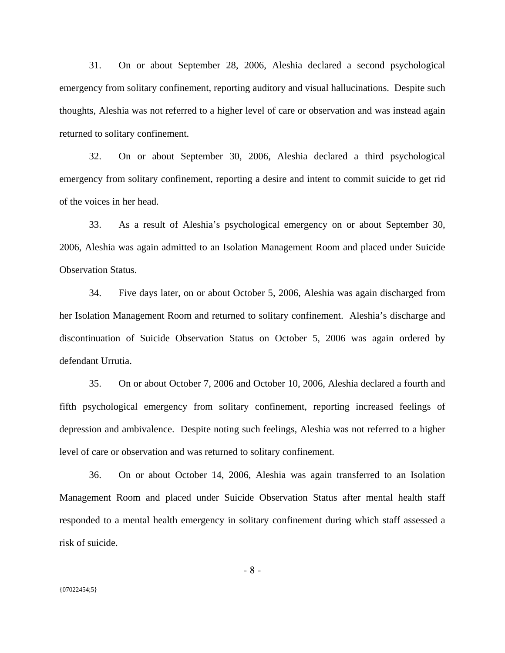31. On or about September 28, 2006, Aleshia declared a second psychological emergency from solitary confinement, reporting auditory and visual hallucinations. Despite such thoughts, Aleshia was not referred to a higher level of care or observation and was instead again returned to solitary confinement.

32. On or about September 30, 2006, Aleshia declared a third psychological emergency from solitary confinement, reporting a desire and intent to commit suicide to get rid of the voices in her head.

33. As a result of Aleshia's psychological emergency on or about September 30, 2006, Aleshia was again admitted to an Isolation Management Room and placed under Suicide Observation Status.

34. Five days later, on or about October 5, 2006, Aleshia was again discharged from her Isolation Management Room and returned to solitary confinement. Aleshia's discharge and discontinuation of Suicide Observation Status on October 5, 2006 was again ordered by defendant Urrutia.

35. On or about October 7, 2006 and October 10, 2006, Aleshia declared a fourth and fifth psychological emergency from solitary confinement, reporting increased feelings of depression and ambivalence. Despite noting such feelings, Aleshia was not referred to a higher level of care or observation and was returned to solitary confinement.

36. On or about October 14, 2006, Aleshia was again transferred to an Isolation Management Room and placed under Suicide Observation Status after mental health staff responded to a mental health emergency in solitary confinement during which staff assessed a risk of suicide.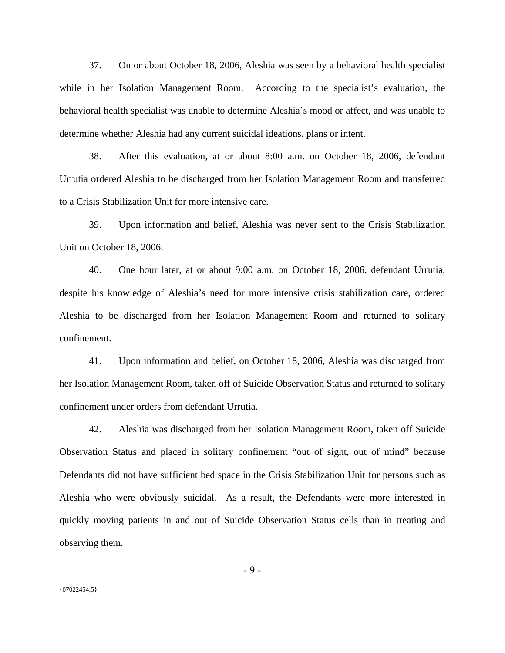37. On or about October 18, 2006, Aleshia was seen by a behavioral health specialist while in her Isolation Management Room. According to the specialist's evaluation, the behavioral health specialist was unable to determine Aleshia's mood or affect, and was unable to determine whether Aleshia had any current suicidal ideations, plans or intent.

38. After this evaluation, at or about 8:00 a.m. on October 18, 2006, defendant Urrutia ordered Aleshia to be discharged from her Isolation Management Room and transferred to a Crisis Stabilization Unit for more intensive care.

39. Upon information and belief, Aleshia was never sent to the Crisis Stabilization Unit on October 18, 2006.

40. One hour later, at or about 9:00 a.m. on October 18, 2006, defendant Urrutia, despite his knowledge of Aleshia's need for more intensive crisis stabilization care, ordered Aleshia to be discharged from her Isolation Management Room and returned to solitary confinement.

41. Upon information and belief, on October 18, 2006, Aleshia was discharged from her Isolation Management Room, taken off of Suicide Observation Status and returned to solitary confinement under orders from defendant Urrutia.

42. Aleshia was discharged from her Isolation Management Room, taken off Suicide Observation Status and placed in solitary confinement "out of sight, out of mind" because Defendants did not have sufficient bed space in the Crisis Stabilization Unit for persons such as Aleshia who were obviously suicidal. As a result, the Defendants were more interested in quickly moving patients in and out of Suicide Observation Status cells than in treating and observing them.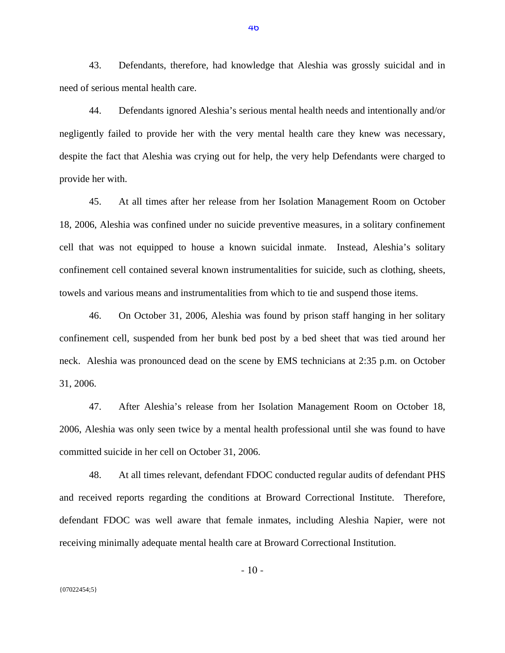43. Defendants, therefore, had knowledge that Aleshia was grossly suicidal and in need of serious mental health care.

44. Defendants ignored Aleshia's serious mental health needs and intentionally and/or negligently failed to provide her with the very mental health care they knew was necessary, despite the fact that Aleshia was crying out for help, the very help Defendants were charged to provide her with.

45. At all times after her release from her Isolation Management Room on October 18, 2006, Aleshia was confined under no suicide preventive measures, in a solitary confinement cell that was not equipped to house a known suicidal inmate. Instead, Aleshia's solitary confinement cell contained several known instrumentalities for suicide, such as clothing, sheets, towels and various means and instrumentalities from which to tie and suspend those items.

46. On October 31, 2006, Aleshia was found by prison staff hanging in her solitary confinement cell, suspended from her bunk bed post by a bed sheet that was tied around her neck. Aleshia was pronounced dead on the scene by EMS technicians at 2:35 p.m. on October 31, 2006.

47. After Aleshia's release from her Isolation Management Room on October 18, 2006, Aleshia was only seen twice by a mental health professional until she was found to have committed suicide in her cell on October 31, 2006.

48. At all times relevant, defendant FDOC conducted regular audits of defendant PHS and received reports regarding the conditions at Broward Correctional Institute. Therefore, defendant FDOC was well aware that female inmates, including Aleshia Napier, were not receiving minimally adequate mental health care at Broward Correctional Institution.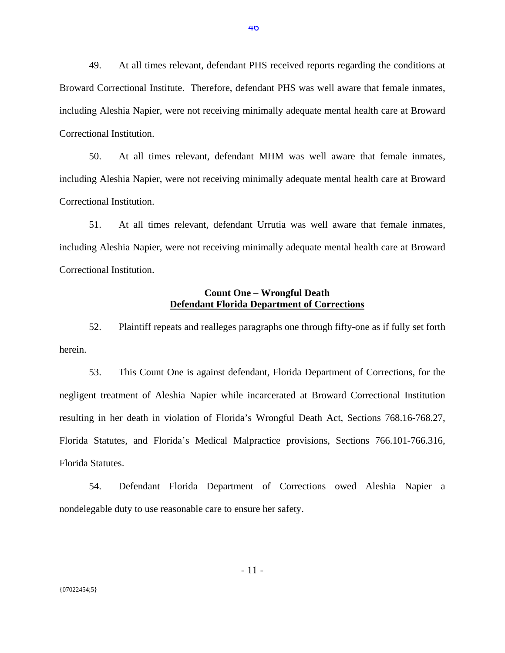49. At all times relevant, defendant PHS received reports regarding the conditions at Broward Correctional Institute. Therefore, defendant PHS was well aware that female inmates, including Aleshia Napier, were not receiving minimally adequate mental health care at Broward Correctional Institution.

50. At all times relevant, defendant MHM was well aware that female inmates, including Aleshia Napier, were not receiving minimally adequate mental health care at Broward Correctional Institution.

51. At all times relevant, defendant Urrutia was well aware that female inmates, including Aleshia Napier, were not receiving minimally adequate mental health care at Broward Correctional Institution.

### **Count One – Wrongful Death Defendant Florida Department of Corrections**

52. Plaintiff repeats and realleges paragraphs one through fifty-one as if fully set forth herein.

53. This Count One is against defendant, Florida Department of Corrections, for the negligent treatment of Aleshia Napier while incarcerated at Broward Correctional Institution resulting in her death in violation of Florida's Wrongful Death Act, Sections 768.16-768.27, Florida Statutes, and Florida's Medical Malpractice provisions, Sections 766.101-766.316, Florida Statutes.

54. Defendant Florida Department of Corrections owed Aleshia Napier a nondelegable duty to use reasonable care to ensure her safety.

- 11 -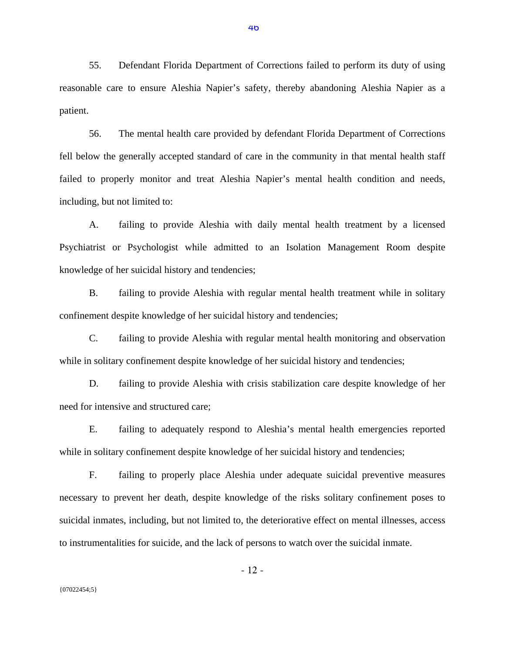55. Defendant Florida Department of Corrections failed to perform its duty of using reasonable care to ensure Aleshia Napier's safety, thereby abandoning Aleshia Napier as a patient.

56. The mental health care provided by defendant Florida Department of Corrections fell below the generally accepted standard of care in the community in that mental health staff failed to properly monitor and treat Aleshia Napier's mental health condition and needs, including, but not limited to:

A. failing to provide Aleshia with daily mental health treatment by a licensed Psychiatrist or Psychologist while admitted to an Isolation Management Room despite knowledge of her suicidal history and tendencies;

B. failing to provide Aleshia with regular mental health treatment while in solitary confinement despite knowledge of her suicidal history and tendencies;

C. failing to provide Aleshia with regular mental health monitoring and observation while in solitary confinement despite knowledge of her suicidal history and tendencies;

D. failing to provide Aleshia with crisis stabilization care despite knowledge of her need for intensive and structured care;

E. failing to adequately respond to Aleshia's mental health emergencies reported while in solitary confinement despite knowledge of her suicidal history and tendencies;

F. failing to properly place Aleshia under adequate suicidal preventive measures necessary to prevent her death, despite knowledge of the risks solitary confinement poses to suicidal inmates, including, but not limited to, the deteriorative effect on mental illnesses, access to instrumentalities for suicide, and the lack of persons to watch over the suicidal inmate.

- 12 -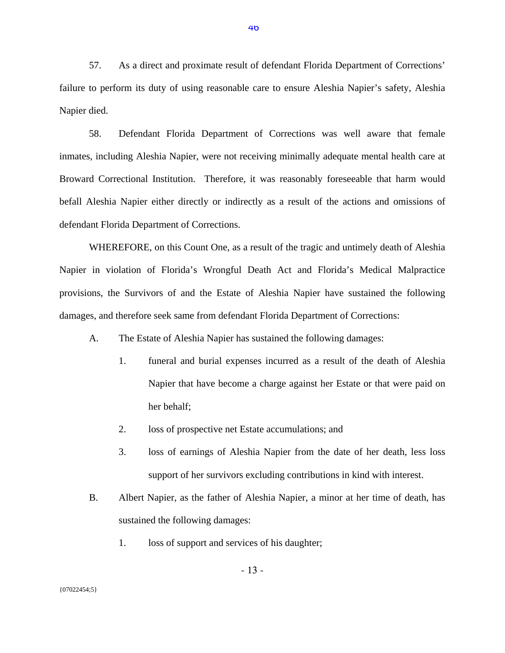57. As a direct and proximate result of defendant Florida Department of Corrections' failure to perform its duty of using reasonable care to ensure Aleshia Napier's safety, Aleshia Napier died.

58. Defendant Florida Department of Corrections was well aware that female inmates, including Aleshia Napier, were not receiving minimally adequate mental health care at Broward Correctional Institution. Therefore, it was reasonably foreseeable that harm would befall Aleshia Napier either directly or indirectly as a result of the actions and omissions of defendant Florida Department of Corrections.

WHEREFORE, on this Count One, as a result of the tragic and untimely death of Aleshia Napier in violation of Florida's Wrongful Death Act and Florida's Medical Malpractice provisions, the Survivors of and the Estate of Aleshia Napier have sustained the following damages, and therefore seek same from defendant Florida Department of Corrections:

- A. The Estate of Aleshia Napier has sustained the following damages:
	- 1. funeral and burial expenses incurred as a result of the death of Aleshia Napier that have become a charge against her Estate or that were paid on her behalf;
	- 2. loss of prospective net Estate accumulations; and
	- 3. loss of earnings of Aleshia Napier from the date of her death, less loss support of her survivors excluding contributions in kind with interest.
- B. Albert Napier, as the father of Aleshia Napier, a minor at her time of death, has sustained the following damages:
	- 1. loss of support and services of his daughter;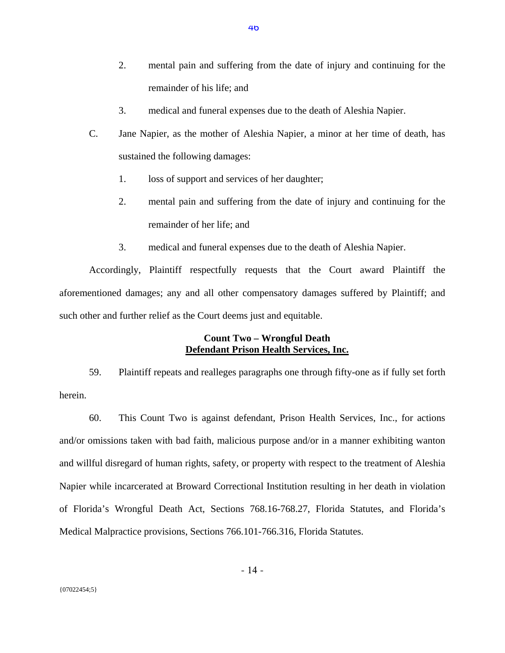- 2. mental pain and suffering from the date of injury and continuing for the remainder of his life; and
- 3. medical and funeral expenses due to the death of Aleshia Napier.
- C. Jane Napier, as the mother of Aleshia Napier, a minor at her time of death, has sustained the following damages:
	- 1. loss of support and services of her daughter;
	- 2. mental pain and suffering from the date of injury and continuing for the remainder of her life; and
	- 3. medical and funeral expenses due to the death of Aleshia Napier.

Accordingly, Plaintiff respectfully requests that the Court award Plaintiff the aforementioned damages; any and all other compensatory damages suffered by Plaintiff; and such other and further relief as the Court deems just and equitable.

# **Count Two – Wrongful Death Defendant Prison Health Services, Inc.**

59. Plaintiff repeats and realleges paragraphs one through fifty-one as if fully set forth herein.

60. This Count Two is against defendant, Prison Health Services, Inc., for actions and/or omissions taken with bad faith, malicious purpose and/or in a manner exhibiting wanton and willful disregard of human rights, safety, or property with respect to the treatment of Aleshia Napier while incarcerated at Broward Correctional Institution resulting in her death in violation of Florida's Wrongful Death Act, Sections 768.16-768.27, Florida Statutes, and Florida's Medical Malpractice provisions, Sections 766.101-766.316, Florida Statutes.

- 14 -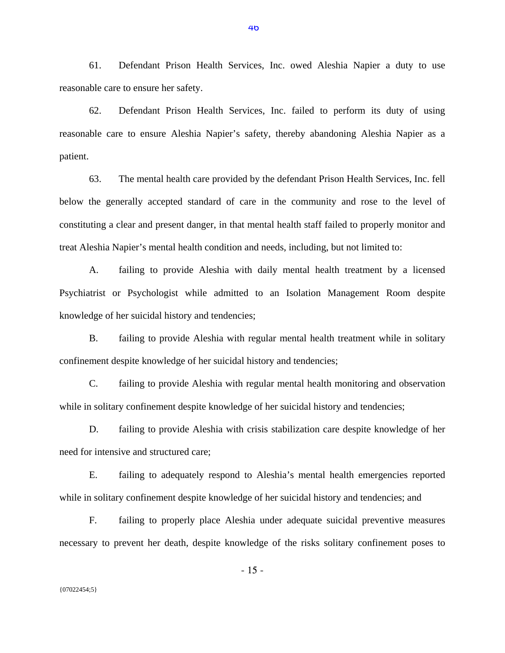61. Defendant Prison Health Services, Inc. owed Aleshia Napier a duty to use reasonable care to ensure her safety.

62. Defendant Prison Health Services, Inc. failed to perform its duty of using reasonable care to ensure Aleshia Napier's safety, thereby abandoning Aleshia Napier as a patient.

63. The mental health care provided by the defendant Prison Health Services, Inc. fell below the generally accepted standard of care in the community and rose to the level of constituting a clear and present danger, in that mental health staff failed to properly monitor and treat Aleshia Napier's mental health condition and needs, including, but not limited to:

A. failing to provide Aleshia with daily mental health treatment by a licensed Psychiatrist or Psychologist while admitted to an Isolation Management Room despite knowledge of her suicidal history and tendencies;

B. failing to provide Aleshia with regular mental health treatment while in solitary confinement despite knowledge of her suicidal history and tendencies;

C. failing to provide Aleshia with regular mental health monitoring and observation while in solitary confinement despite knowledge of her suicidal history and tendencies;

D. failing to provide Aleshia with crisis stabilization care despite knowledge of her need for intensive and structured care;

E. failing to adequately respond to Aleshia's mental health emergencies reported while in solitary confinement despite knowledge of her suicidal history and tendencies; and

F. failing to properly place Aleshia under adequate suicidal preventive measures necessary to prevent her death, despite knowledge of the risks solitary confinement poses to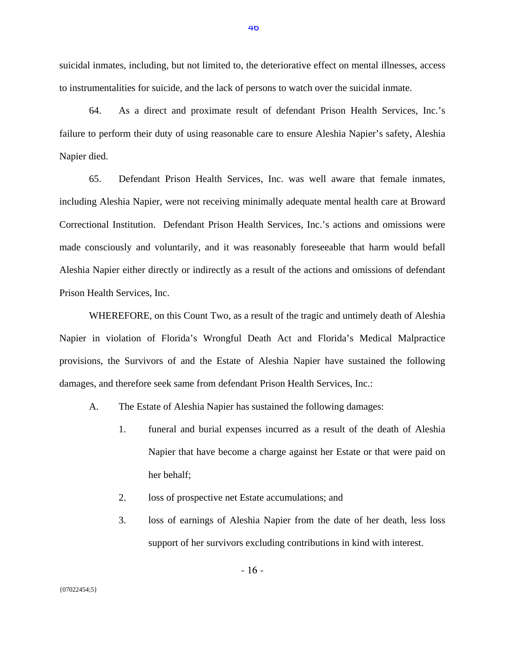suicidal inmates, including, but not limited to, the deteriorative effect on mental illnesses, access to instrumentalities for suicide, and the lack of persons to watch over the suicidal inmate.

64. As a direct and proximate result of defendant Prison Health Services, Inc.'s failure to perform their duty of using reasonable care to ensure Aleshia Napier's safety, Aleshia Napier died.

65. Defendant Prison Health Services, Inc. was well aware that female inmates, including Aleshia Napier, were not receiving minimally adequate mental health care at Broward Correctional Institution. Defendant Prison Health Services, Inc.'s actions and omissions were made consciously and voluntarily, and it was reasonably foreseeable that harm would befall Aleshia Napier either directly or indirectly as a result of the actions and omissions of defendant Prison Health Services, Inc.

WHEREFORE, on this Count Two, as a result of the tragic and untimely death of Aleshia Napier in violation of Florida's Wrongful Death Act and Florida's Medical Malpractice provisions, the Survivors of and the Estate of Aleshia Napier have sustained the following damages, and therefore seek same from defendant Prison Health Services, Inc.:

- A. The Estate of Aleshia Napier has sustained the following damages:
	- 1. funeral and burial expenses incurred as a result of the death of Aleshia Napier that have become a charge against her Estate or that were paid on her behalf;
	- 2. loss of prospective net Estate accumulations; and

- 16 -

3. loss of earnings of Aleshia Napier from the date of her death, less loss support of her survivors excluding contributions in kind with interest.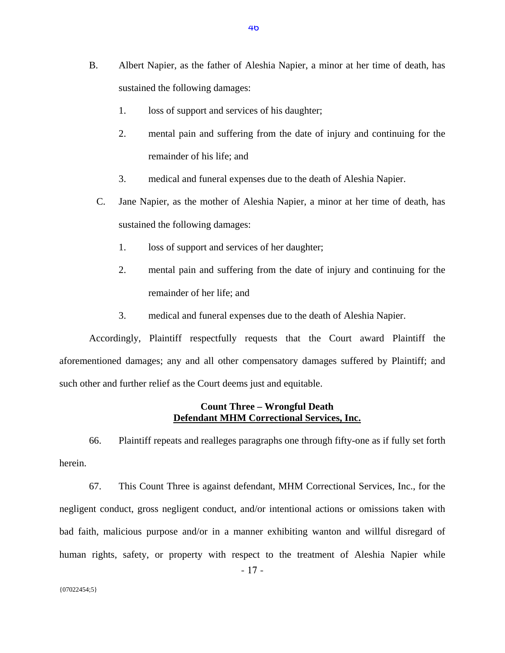- B. Albert Napier, as the father of Aleshia Napier, a minor at her time of death, has sustained the following damages:
	- 1. loss of support and services of his daughter;
	- 2. mental pain and suffering from the date of injury and continuing for the remainder of his life; and
	- 3. medical and funeral expenses due to the death of Aleshia Napier.
	- C. Jane Napier, as the mother of Aleshia Napier, a minor at her time of death, has sustained the following damages:
		- 1. loss of support and services of her daughter;
		- 2. mental pain and suffering from the date of injury and continuing for the remainder of her life; and
		- 3. medical and funeral expenses due to the death of Aleshia Napier.

Accordingly, Plaintiff respectfully requests that the Court award Plaintiff the aforementioned damages; any and all other compensatory damages suffered by Plaintiff; and such other and further relief as the Court deems just and equitable.

#### **Count Three – Wrongful Death Defendant MHM Correctional Services, Inc.**

66. Plaintiff repeats and realleges paragraphs one through fifty-one as if fully set forth herein.

67. This Count Three is against defendant, MHM Correctional Services, Inc., for the negligent conduct, gross negligent conduct, and/or intentional actions or omissions taken with bad faith, malicious purpose and/or in a manner exhibiting wanton and willful disregard of human rights, safety, or property with respect to the treatment of Aleshia Napier while

- 17 -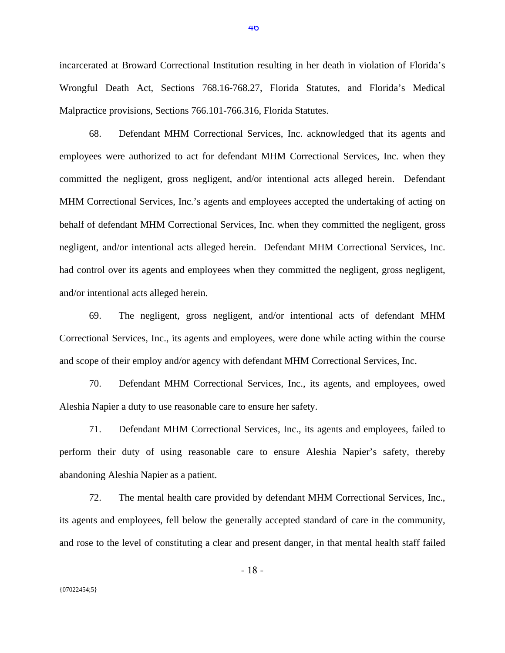incarcerated at Broward Correctional Institution resulting in her death in violation of Florida's Wrongful Death Act, Sections 768.16-768.27, Florida Statutes, and Florida's Medical Malpractice provisions, Sections 766.101-766.316, Florida Statutes.

68. Defendant MHM Correctional Services, Inc. acknowledged that its agents and employees were authorized to act for defendant MHM Correctional Services, Inc. when they committed the negligent, gross negligent, and/or intentional acts alleged herein. Defendant MHM Correctional Services, Inc.'s agents and employees accepted the undertaking of acting on behalf of defendant MHM Correctional Services, Inc. when they committed the negligent, gross negligent, and/or intentional acts alleged herein. Defendant MHM Correctional Services, Inc. had control over its agents and employees when they committed the negligent, gross negligent, and/or intentional acts alleged herein.

69. The negligent, gross negligent, and/or intentional acts of defendant MHM Correctional Services, Inc., its agents and employees, were done while acting within the course and scope of their employ and/or agency with defendant MHM Correctional Services, Inc.

70. Defendant MHM Correctional Services, Inc., its agents, and employees, owed Aleshia Napier a duty to use reasonable care to ensure her safety.

71. Defendant MHM Correctional Services, Inc., its agents and employees, failed to perform their duty of using reasonable care to ensure Aleshia Napier's safety, thereby abandoning Aleshia Napier as a patient.

72. The mental health care provided by defendant MHM Correctional Services, Inc., its agents and employees, fell below the generally accepted standard of care in the community, and rose to the level of constituting a clear and present danger, in that mental health staff failed

- 18 -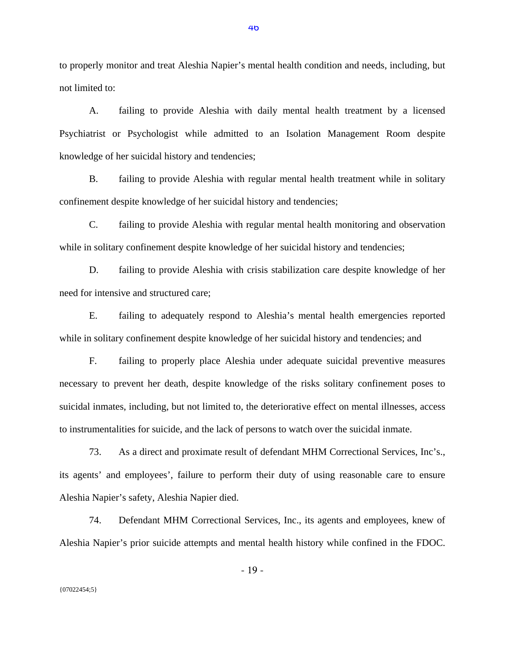to properly monitor and treat Aleshia Napier's mental health condition and needs, including, but not limited to:

A. failing to provide Aleshia with daily mental health treatment by a licensed Psychiatrist or Psychologist while admitted to an Isolation Management Room despite knowledge of her suicidal history and tendencies;

B. failing to provide Aleshia with regular mental health treatment while in solitary confinement despite knowledge of her suicidal history and tendencies;

C. failing to provide Aleshia with regular mental health monitoring and observation while in solitary confinement despite knowledge of her suicidal history and tendencies;

D. failing to provide Aleshia with crisis stabilization care despite knowledge of her need for intensive and structured care;

E. failing to adequately respond to Aleshia's mental health emergencies reported while in solitary confinement despite knowledge of her suicidal history and tendencies; and

F. failing to properly place Aleshia under adequate suicidal preventive measures necessary to prevent her death, despite knowledge of the risks solitary confinement poses to suicidal inmates, including, but not limited to, the deteriorative effect on mental illnesses, access to instrumentalities for suicide, and the lack of persons to watch over the suicidal inmate.

73. As a direct and proximate result of defendant MHM Correctional Services, Inc's., its agents' and employees', failure to perform their duty of using reasonable care to ensure Aleshia Napier's safety, Aleshia Napier died.

74. Defendant MHM Correctional Services, Inc., its agents and employees, knew of Aleshia Napier's prior suicide attempts and mental health history while confined in the FDOC.

- 19 -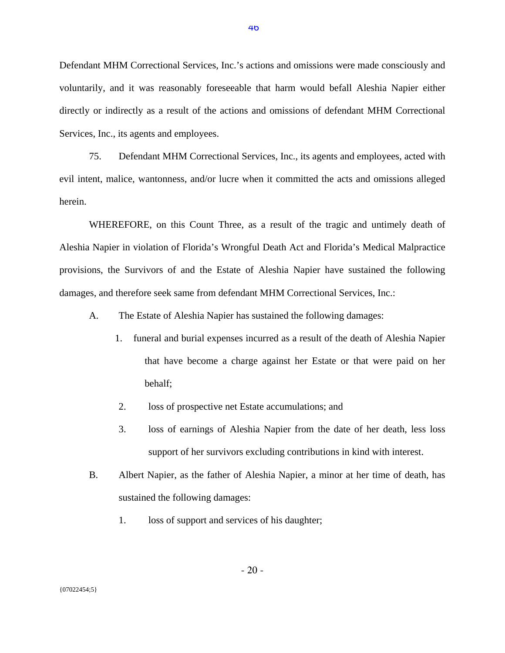Defendant MHM Correctional Services, Inc.'s actions and omissions were made consciously and voluntarily, and it was reasonably foreseeable that harm would befall Aleshia Napier either directly or indirectly as a result of the actions and omissions of defendant MHM Correctional Services, Inc., its agents and employees.

75. Defendant MHM Correctional Services, Inc., its agents and employees, acted with evil intent, malice, wantonness, and/or lucre when it committed the acts and omissions alleged herein.

WHEREFORE, on this Count Three, as a result of the tragic and untimely death of Aleshia Napier in violation of Florida's Wrongful Death Act and Florida's Medical Malpractice provisions, the Survivors of and the Estate of Aleshia Napier have sustained the following damages, and therefore seek same from defendant MHM Correctional Services, Inc.:

- A. The Estate of Aleshia Napier has sustained the following damages:
	- 1. funeral and burial expenses incurred as a result of the death of Aleshia Napier that have become a charge against her Estate or that were paid on her behalf;
	- 2. loss of prospective net Estate accumulations; and
	- 3. loss of earnings of Aleshia Napier from the date of her death, less loss support of her survivors excluding contributions in kind with interest.
- B. Albert Napier, as the father of Aleshia Napier, a minor at her time of death, has sustained the following damages:
	- 1. loss of support and services of his daughter;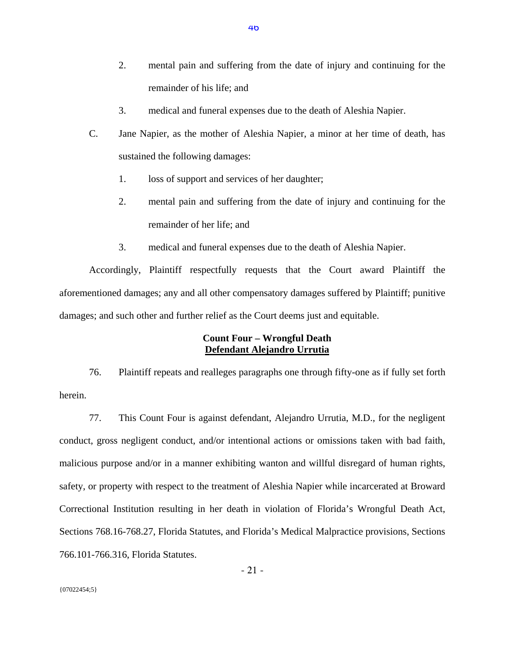- 2. mental pain and suffering from the date of injury and continuing for the remainder of his life; and
- 3. medical and funeral expenses due to the death of Aleshia Napier.
- C. Jane Napier, as the mother of Aleshia Napier, a minor at her time of death, has sustained the following damages:
	- 1. loss of support and services of her daughter;
	- 2. mental pain and suffering from the date of injury and continuing for the remainder of her life; and
	- 3. medical and funeral expenses due to the death of Aleshia Napier.

Accordingly, Plaintiff respectfully requests that the Court award Plaintiff the aforementioned damages; any and all other compensatory damages suffered by Plaintiff; punitive damages; and such other and further relief as the Court deems just and equitable.

# **Count Four – Wrongful Death Defendant Alejandro Urrutia**

76. Plaintiff repeats and realleges paragraphs one through fifty-one as if fully set forth herein.

77. This Count Four is against defendant, Alejandro Urrutia, M.D., for the negligent conduct, gross negligent conduct, and/or intentional actions or omissions taken with bad faith, malicious purpose and/or in a manner exhibiting wanton and willful disregard of human rights, safety, or property with respect to the treatment of Aleshia Napier while incarcerated at Broward Correctional Institution resulting in her death in violation of Florida's Wrongful Death Act, Sections 768.16-768.27, Florida Statutes, and Florida's Medical Malpractice provisions, Sections 766.101-766.316, Florida Statutes.

- 21 -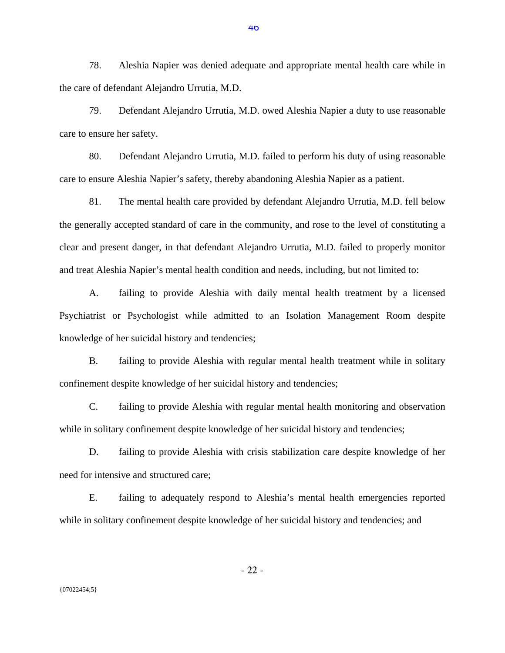78. Aleshia Napier was denied adequate and appropriate mental health care while in the care of defendant Alejandro Urrutia, M.D.

79. Defendant Alejandro Urrutia, M.D. owed Aleshia Napier a duty to use reasonable care to ensure her safety.

80. Defendant Alejandro Urrutia, M.D. failed to perform his duty of using reasonable care to ensure Aleshia Napier's safety, thereby abandoning Aleshia Napier as a patient.

81. The mental health care provided by defendant Alejandro Urrutia, M.D. fell below the generally accepted standard of care in the community, and rose to the level of constituting a clear and present danger, in that defendant Alejandro Urrutia, M.D. failed to properly monitor and treat Aleshia Napier's mental health condition and needs, including, but not limited to:

A. failing to provide Aleshia with daily mental health treatment by a licensed Psychiatrist or Psychologist while admitted to an Isolation Management Room despite knowledge of her suicidal history and tendencies;

B. failing to provide Aleshia with regular mental health treatment while in solitary confinement despite knowledge of her suicidal history and tendencies;

C. failing to provide Aleshia with regular mental health monitoring and observation while in solitary confinement despite knowledge of her suicidal history and tendencies;

D. failing to provide Aleshia with crisis stabilization care despite knowledge of her need for intensive and structured care;

E. failing to adequately respond to Aleshia's mental health emergencies reported while in solitary confinement despite knowledge of her suicidal history and tendencies; and

{07022454;5}

- 22 -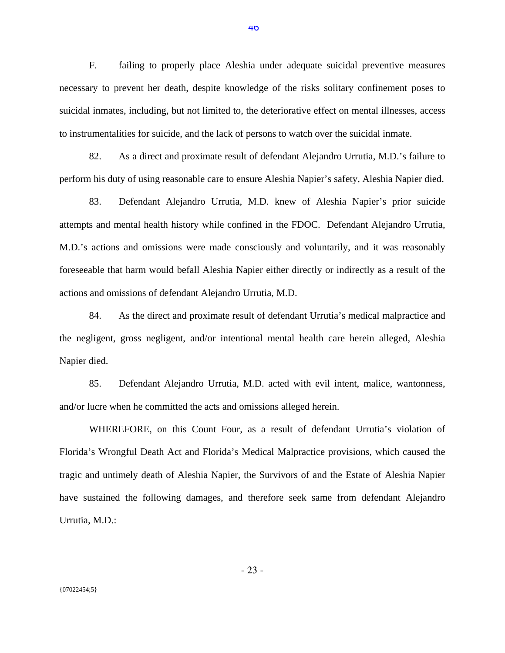F. failing to properly place Aleshia under adequate suicidal preventive measures necessary to prevent her death, despite knowledge of the risks solitary confinement poses to suicidal inmates, including, but not limited to, the deteriorative effect on mental illnesses, access to instrumentalities for suicide, and the lack of persons to watch over the suicidal inmate.

82. As a direct and proximate result of defendant Alejandro Urrutia, M.D.'s failure to perform his duty of using reasonable care to ensure Aleshia Napier's safety, Aleshia Napier died.

83. Defendant Alejandro Urrutia, M.D. knew of Aleshia Napier's prior suicide attempts and mental health history while confined in the FDOC. Defendant Alejandro Urrutia, M.D.'s actions and omissions were made consciously and voluntarily, and it was reasonably foreseeable that harm would befall Aleshia Napier either directly or indirectly as a result of the actions and omissions of defendant Alejandro Urrutia, M.D.

84. As the direct and proximate result of defendant Urrutia's medical malpractice and the negligent, gross negligent, and/or intentional mental health care herein alleged, Aleshia Napier died.

85. Defendant Alejandro Urrutia, M.D. acted with evil intent, malice, wantonness, and/or lucre when he committed the acts and omissions alleged herein.

WHEREFORE, on this Count Four, as a result of defendant Urrutia's violation of Florida's Wrongful Death Act and Florida's Medical Malpractice provisions, which caused the tragic and untimely death of Aleshia Napier, the Survivors of and the Estate of Aleshia Napier have sustained the following damages, and therefore seek same from defendant Alejandro Urrutia, M.D.:

- 23 -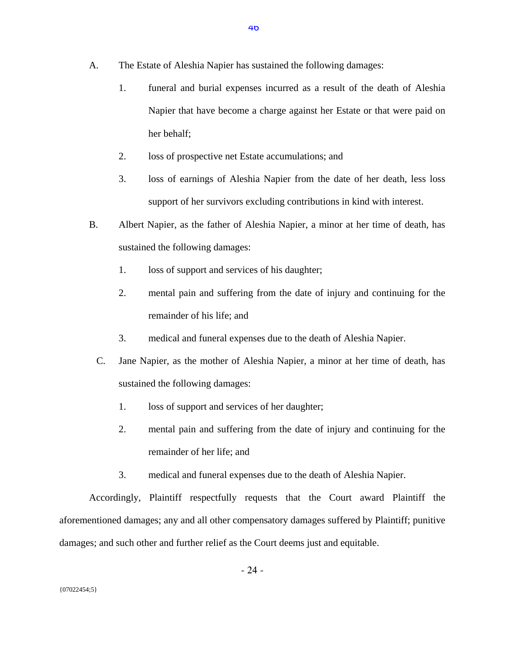- 1. funeral and burial expenses incurred as a result of the death of Aleshia Napier that have become a charge against her Estate or that were paid on her behalf;
- 2. loss of prospective net Estate accumulations; and
- 3. loss of earnings of Aleshia Napier from the date of her death, less loss support of her survivors excluding contributions in kind with interest.
- B. Albert Napier, as the father of Aleshia Napier, a minor at her time of death, has sustained the following damages:
	- 1. loss of support and services of his daughter;
	- 2. mental pain and suffering from the date of injury and continuing for the remainder of his life; and
	- 3. medical and funeral expenses due to the death of Aleshia Napier.
	- C. Jane Napier, as the mother of Aleshia Napier, a minor at her time of death, has sustained the following damages:
		- 1. loss of support and services of her daughter;
		- 2. mental pain and suffering from the date of injury and continuing for the remainder of her life; and
		- 3. medical and funeral expenses due to the death of Aleshia Napier.

Accordingly, Plaintiff respectfully requests that the Court award Plaintiff the aforementioned damages; any and all other compensatory damages suffered by Plaintiff; punitive damages; and such other and further relief as the Court deems just and equitable.

- 24 -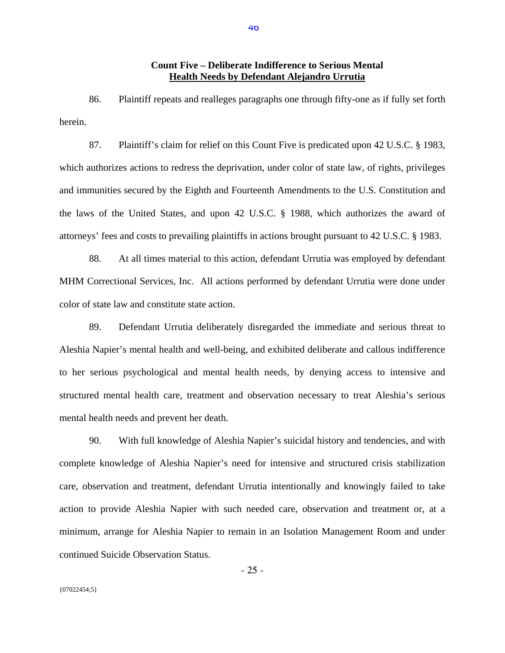### **Count Five – Deliberate Indifference to Serious Mental Health Needs by Defendant Alejandro Urrutia**

86. Plaintiff repeats and realleges paragraphs one through fifty-one as if fully set forth herein.

87. Plaintiff's claim for relief on this Count Five is predicated upon 42 U.S.C. § 1983, which authorizes actions to redress the deprivation, under color of state law, of rights, privileges and immunities secured by the Eighth and Fourteenth Amendments to the U.S. Constitution and the laws of the United States, and upon 42 U.S.C. § 1988, which authorizes the award of attorneys' fees and costs to prevailing plaintiffs in actions brought pursuant to 42 U.S.C. § 1983.

88. At all times material to this action, defendant Urrutia was employed by defendant MHM Correctional Services, Inc. All actions performed by defendant Urrutia were done under color of state law and constitute state action.

89. Defendant Urrutia deliberately disregarded the immediate and serious threat to Aleshia Napier's mental health and well-being, and exhibited deliberate and callous indifference to her serious psychological and mental health needs, by denying access to intensive and structured mental health care, treatment and observation necessary to treat Aleshia's serious mental health needs and prevent her death.

90. With full knowledge of Aleshia Napier's suicidal history and tendencies, and with complete knowledge of Aleshia Napier's need for intensive and structured crisis stabilization care, observation and treatment, defendant Urrutia intentionally and knowingly failed to take action to provide Aleshia Napier with such needed care, observation and treatment or, at a minimum, arrange for Aleshia Napier to remain in an Isolation Management Room and under continued Suicide Observation Status.

- 25 -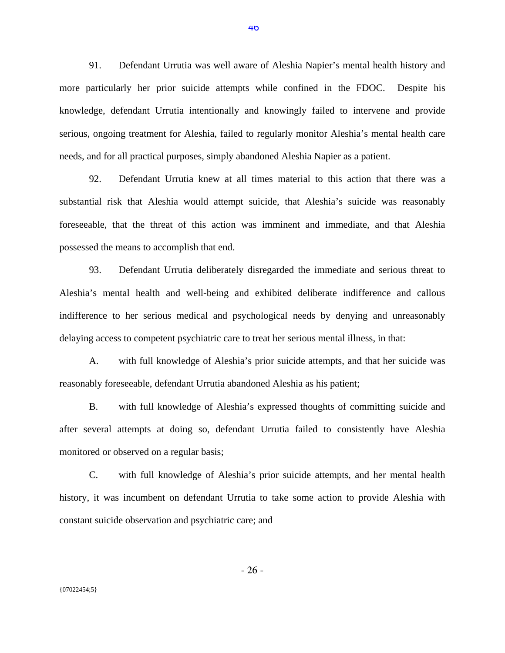91. Defendant Urrutia was well aware of Aleshia Napier's mental health history and more particularly her prior suicide attempts while confined in the FDOC. Despite his knowledge, defendant Urrutia intentionally and knowingly failed to intervene and provide serious, ongoing treatment for Aleshia, failed to regularly monitor Aleshia's mental health care needs, and for all practical purposes, simply abandoned Aleshia Napier as a patient.

92. Defendant Urrutia knew at all times material to this action that there was a substantial risk that Aleshia would attempt suicide, that Aleshia's suicide was reasonably foreseeable, that the threat of this action was imminent and immediate, and that Aleshia possessed the means to accomplish that end.

93. Defendant Urrutia deliberately disregarded the immediate and serious threat to Aleshia's mental health and well-being and exhibited deliberate indifference and callous indifference to her serious medical and psychological needs by denying and unreasonably delaying access to competent psychiatric care to treat her serious mental illness, in that:

A. with full knowledge of Aleshia's prior suicide attempts, and that her suicide was reasonably foreseeable, defendant Urrutia abandoned Aleshia as his patient;

B. with full knowledge of Aleshia's expressed thoughts of committing suicide and after several attempts at doing so, defendant Urrutia failed to consistently have Aleshia monitored or observed on a regular basis;

C. with full knowledge of Aleshia's prior suicide attempts, and her mental health history, it was incumbent on defendant Urrutia to take some action to provide Aleshia with constant suicide observation and psychiatric care; and

- 26 -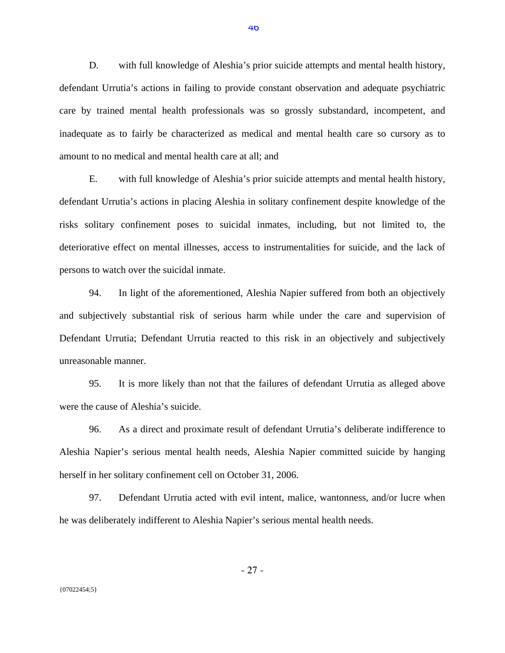D. with full knowledge of Aleshia's prior suicide attempts and mental health history, defendant Urrutia's actions in failing to provide constant observation and adequate psychiatric care by trained mental health professionals was so grossly substandard, incompetent, and inadequate as to fairly be characterized as medical and mental health care so cursory as to amount to no medical and mental health care at all; and

E. with full knowledge of Aleshia's prior suicide attempts and mental health history, defendant Urrutia's actions in placing Aleshia in solitary confinement despite knowledge of the risks solitary confinement poses to suicidal inmates, including, but not limited to, the deteriorative effect on mental illnesses, access to instrumentalities for suicide, and the lack of persons to watch over the suicidal inmate.

94. In light of the aforementioned, Aleshia Napier suffered from both an objectively and subjectively substantial risk of serious harm while under the care and supervision of Defendant Urrutia; Defendant Urrutia reacted to this risk in an objectively and subjectively unreasonable manner.

95. It is more likely than not that the failures of defendant Urrutia as alleged above were the cause of Aleshia's suicide.

96. As a direct and proximate result of defendant Urrutia's deliberate indifference to Aleshia Napier's serious mental health needs, Aleshia Napier committed suicide by hanging herself in her solitary confinement cell on October 31, 2006.

97. Defendant Urrutia acted with evil intent, malice, wantonness, and/or lucre when he was deliberately indifferent to Aleshia Napier's serious mental health needs.

{07022454;5}

- 27 -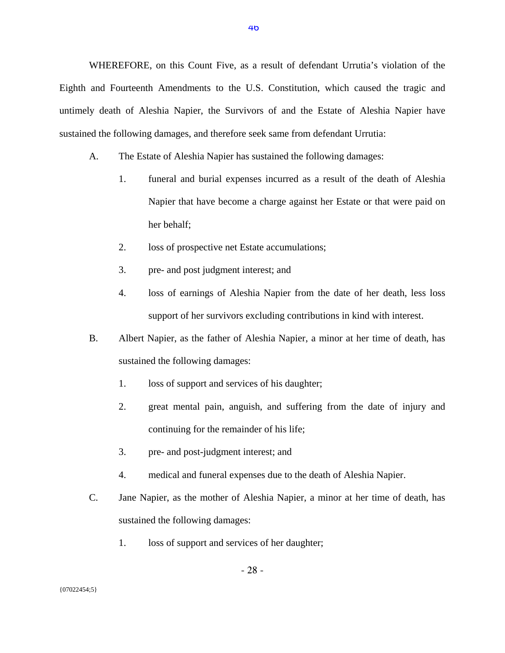WHEREFORE, on this Count Five, as a result of defendant Urrutia's violation of the Eighth and Fourteenth Amendments to the U.S. Constitution, which caused the tragic and untimely death of Aleshia Napier, the Survivors of and the Estate of Aleshia Napier have sustained the following damages, and therefore seek same from defendant Urrutia:

- A. The Estate of Aleshia Napier has sustained the following damages:
	- 1. funeral and burial expenses incurred as a result of the death of Aleshia Napier that have become a charge against her Estate or that were paid on her behalf;
	- 2. loss of prospective net Estate accumulations;
	- 3. pre- and post judgment interest; and
	- 4. loss of earnings of Aleshia Napier from the date of her death, less loss support of her survivors excluding contributions in kind with interest.
- B. Albert Napier, as the father of Aleshia Napier, a minor at her time of death, has sustained the following damages:
	- 1. loss of support and services of his daughter;
	- 2. great mental pain, anguish, and suffering from the date of injury and continuing for the remainder of his life;
	- 3. pre- and post-judgment interest; and
	- 4. medical and funeral expenses due to the death of Aleshia Napier.
- C. Jane Napier, as the mother of Aleshia Napier, a minor at her time of death, has sustained the following damages:
	- 1. loss of support and services of her daughter;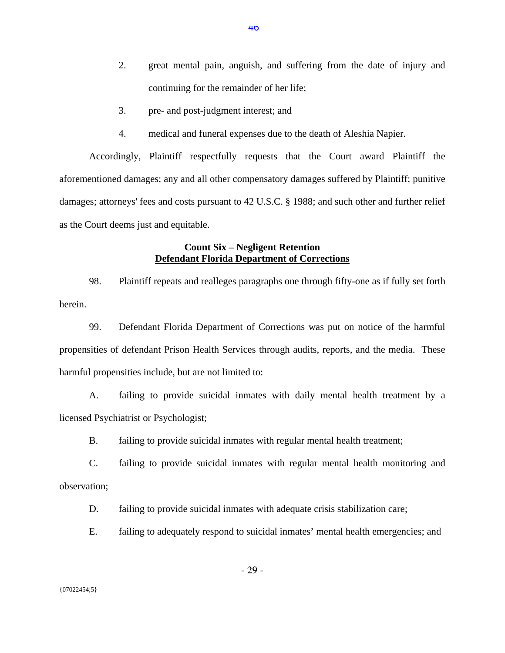- 2. great mental pain, anguish, and suffering from the date of injury and continuing for the remainder of her life;
- 3. pre- and post-judgment interest; and
- 4. medical and funeral expenses due to the death of Aleshia Napier.

Accordingly, Plaintiff respectfully requests that the Court award Plaintiff the aforementioned damages; any and all other compensatory damages suffered by Plaintiff; punitive damages; attorneys' fees and costs pursuant to 42 U.S.C. § 1988; and such other and further relief as the Court deems just and equitable.

## **Count Six – Negligent Retention Defendant Florida Department of Corrections**

98. Plaintiff repeats and realleges paragraphs one through fifty-one as if fully set forth herein.

99. Defendant Florida Department of Corrections was put on notice of the harmful propensities of defendant Prison Health Services through audits, reports, and the media. These harmful propensities include, but are not limited to:

A. failing to provide suicidal inmates with daily mental health treatment by a licensed Psychiatrist or Psychologist;

B. failing to provide suicidal inmates with regular mental health treatment;

C. failing to provide suicidal inmates with regular mental health monitoring and observation;

D. failing to provide suicidal inmates with adequate crisis stabilization care;

E. failing to adequately respond to suicidal inmates' mental health emergencies; and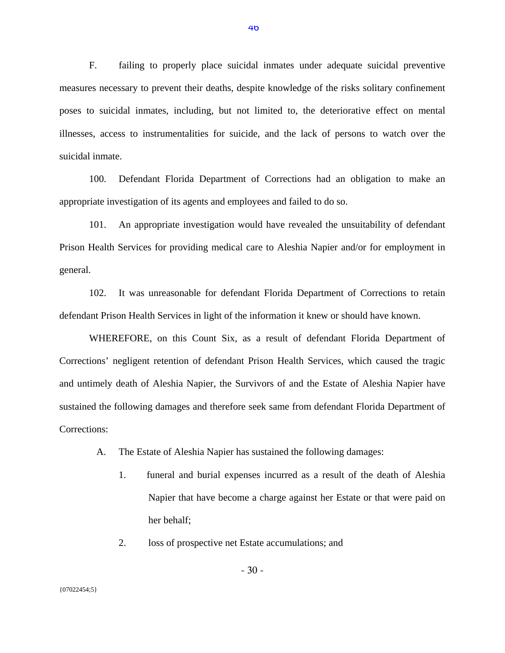F. failing to properly place suicidal inmates under adequate suicidal preventive measures necessary to prevent their deaths, despite knowledge of the risks solitary confinement poses to suicidal inmates, including, but not limited to, the deteriorative effect on mental illnesses, access to instrumentalities for suicide, and the lack of persons to watch over the suicidal inmate.

100. Defendant Florida Department of Corrections had an obligation to make an appropriate investigation of its agents and employees and failed to do so.

101. An appropriate investigation would have revealed the unsuitability of defendant Prison Health Services for providing medical care to Aleshia Napier and/or for employment in general.

102. It was unreasonable for defendant Florida Department of Corrections to retain defendant Prison Health Services in light of the information it knew or should have known.

WHEREFORE, on this Count Six, as a result of defendant Florida Department of Corrections' negligent retention of defendant Prison Health Services, which caused the tragic and untimely death of Aleshia Napier, the Survivors of and the Estate of Aleshia Napier have sustained the following damages and therefore seek same from defendant Florida Department of Corrections:

- A. The Estate of Aleshia Napier has sustained the following damages:
	- 1. funeral and burial expenses incurred as a result of the death of Aleshia Napier that have become a charge against her Estate or that were paid on her behalf;
	- 2. loss of prospective net Estate accumulations; and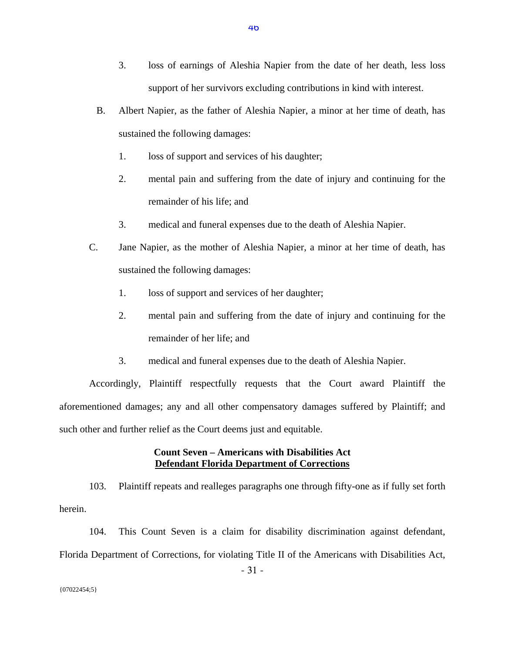- 3. loss of earnings of Aleshia Napier from the date of her death, less loss support of her survivors excluding contributions in kind with interest.
- B. Albert Napier, as the father of Aleshia Napier, a minor at her time of death, has sustained the following damages:
	- 1. loss of support and services of his daughter;
	- 2. mental pain and suffering from the date of injury and continuing for the remainder of his life; and
	- 3. medical and funeral expenses due to the death of Aleshia Napier.
- C. Jane Napier, as the mother of Aleshia Napier, a minor at her time of death, has sustained the following damages:
	- 1. loss of support and services of her daughter;
	- 2. mental pain and suffering from the date of injury and continuing for the remainder of her life; and
	- 3. medical and funeral expenses due to the death of Aleshia Napier.

Accordingly, Plaintiff respectfully requests that the Court award Plaintiff the aforementioned damages; any and all other compensatory damages suffered by Plaintiff; and such other and further relief as the Court deems just and equitable.

## **Count Seven – Americans with Disabilities Act Defendant Florida Department of Corrections**

103. Plaintiff repeats and realleges paragraphs one through fifty-one as if fully set forth herein.

104. This Count Seven is a claim for disability discrimination against defendant, Florida Department of Corrections, for violating Title II of the Americans with Disabilities Act,

- 31 -

46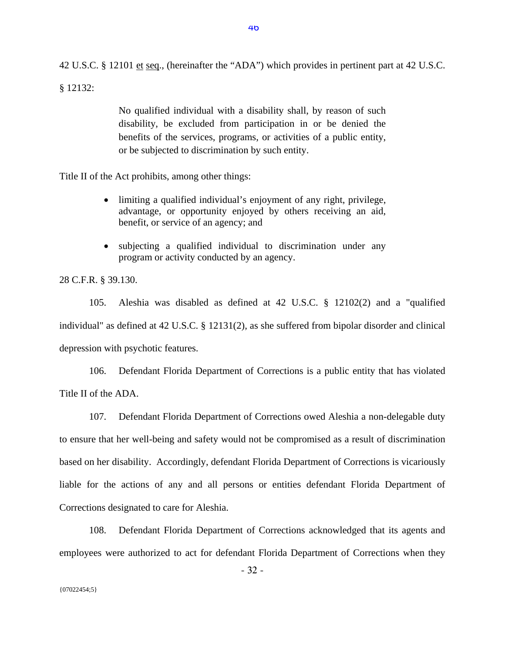42 U.S.C. § 12101 et seq., (hereinafter the "ADA") which provides in pertinent part at 42 U.S.C.

§ 12132:

No qualified individual with a disability shall, by reason of such disability, be excluded from participation in or be denied the benefits of the services, programs, or activities of a public entity, or be subjected to discrimination by such entity.

Title II of the Act prohibits, among other things:

- limiting a qualified individual's enjoyment of any right, privilege, advantage, or opportunity enjoyed by others receiving an aid, benefit, or service of an agency; and
- subjecting a qualified individual to discrimination under any program or activity conducted by an agency.

28 C.F.R. § 39.130.

105. Aleshia was disabled as defined at 42 U.S.C. § 12102(2) and a "qualified individual" as defined at 42 U.S.C. § 12131(2), as she suffered from bipolar disorder and clinical depression with psychotic features.

106. Defendant Florida Department of Corrections is a public entity that has violated Title II of the ADA.

107. Defendant Florida Department of Corrections owed Aleshia a non-delegable duty to ensure that her well-being and safety would not be compromised as a result of discrimination based on her disability. Accordingly, defendant Florida Department of Corrections is vicariously liable for the actions of any and all persons or entities defendant Florida Department of Corrections designated to care for Aleshia.

108. Defendant Florida Department of Corrections acknowledged that its agents and employees were authorized to act for defendant Florida Department of Corrections when they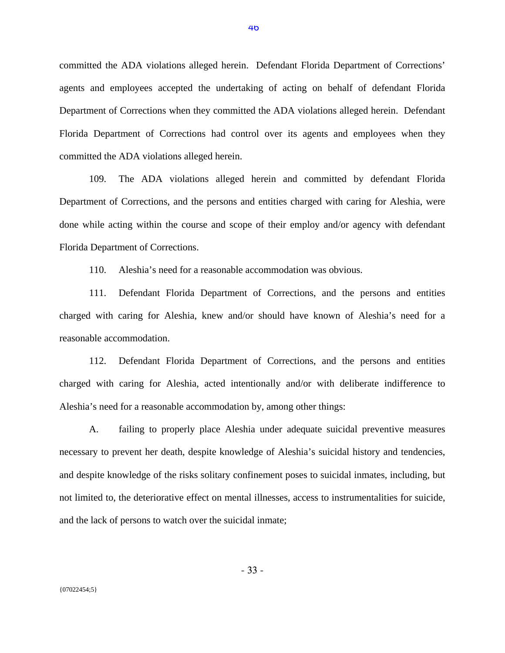committed the ADA violations alleged herein. Defendant Florida Department of Corrections' agents and employees accepted the undertaking of acting on behalf of defendant Florida Department of Corrections when they committed the ADA violations alleged herein. Defendant Florida Department of Corrections had control over its agents and employees when they committed the ADA violations alleged herein.

109. The ADA violations alleged herein and committed by defendant Florida Department of Corrections, and the persons and entities charged with caring for Aleshia, were done while acting within the course and scope of their employ and/or agency with defendant Florida Department of Corrections.

110. Aleshia's need for a reasonable accommodation was obvious.

111. Defendant Florida Department of Corrections, and the persons and entities charged with caring for Aleshia, knew and/or should have known of Aleshia's need for a reasonable accommodation.

112. Defendant Florida Department of Corrections, and the persons and entities charged with caring for Aleshia, acted intentionally and/or with deliberate indifference to Aleshia's need for a reasonable accommodation by, among other things:

A. failing to properly place Aleshia under adequate suicidal preventive measures necessary to prevent her death, despite knowledge of Aleshia's suicidal history and tendencies, and despite knowledge of the risks solitary confinement poses to suicidal inmates, including, but not limited to, the deteriorative effect on mental illnesses, access to instrumentalities for suicide, and the lack of persons to watch over the suicidal inmate;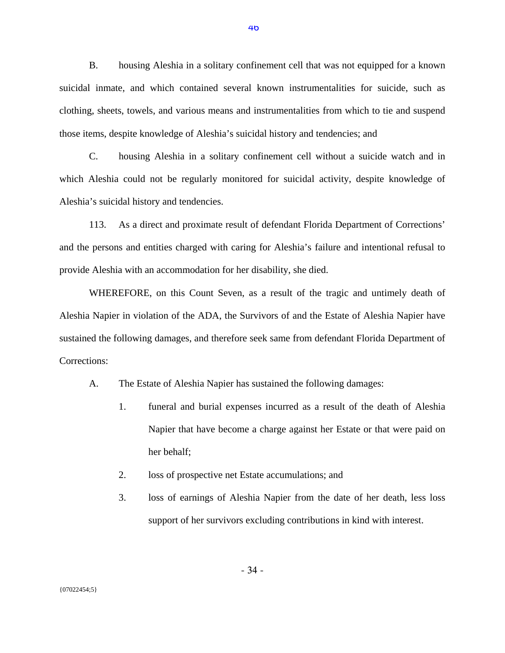B. housing Aleshia in a solitary confinement cell that was not equipped for a known suicidal inmate, and which contained several known instrumentalities for suicide, such as clothing, sheets, towels, and various means and instrumentalities from which to tie and suspend those items, despite knowledge of Aleshia's suicidal history and tendencies; and

C. housing Aleshia in a solitary confinement cell without a suicide watch and in which Aleshia could not be regularly monitored for suicidal activity, despite knowledge of Aleshia's suicidal history and tendencies.

113. As a direct and proximate result of defendant Florida Department of Corrections' and the persons and entities charged with caring for Aleshia's failure and intentional refusal to provide Aleshia with an accommodation for her disability, she died.

WHEREFORE, on this Count Seven, as a result of the tragic and untimely death of Aleshia Napier in violation of the ADA, the Survivors of and the Estate of Aleshia Napier have sustained the following damages, and therefore seek same from defendant Florida Department of Corrections:

- A. The Estate of Aleshia Napier has sustained the following damages:
	- 1. funeral and burial expenses incurred as a result of the death of Aleshia Napier that have become a charge against her Estate or that were paid on her behalf;
	- 2. loss of prospective net Estate accumulations; and
	- 3. loss of earnings of Aleshia Napier from the date of her death, less loss support of her survivors excluding contributions in kind with interest.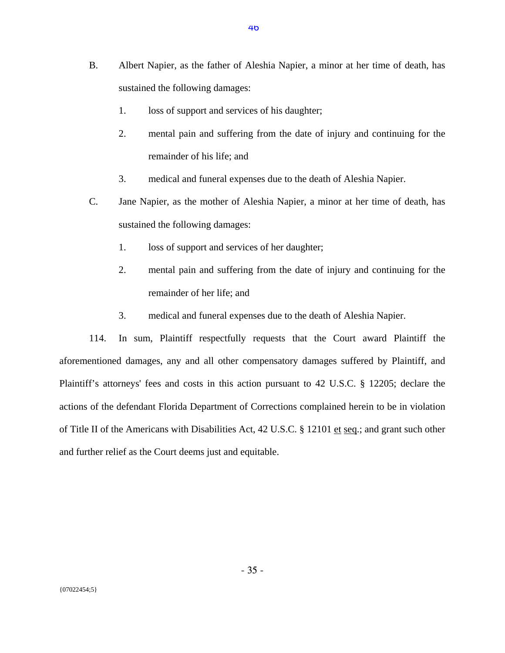- B. Albert Napier, as the father of Aleshia Napier, a minor at her time of death, has sustained the following damages:
	- 1. loss of support and services of his daughter;
	- 2. mental pain and suffering from the date of injury and continuing for the remainder of his life; and
	- 3. medical and funeral expenses due to the death of Aleshia Napier.
- C. Jane Napier, as the mother of Aleshia Napier, a minor at her time of death, has sustained the following damages:
	- 1. loss of support and services of her daughter;
	- 2. mental pain and suffering from the date of injury and continuing for the remainder of her life; and
	- 3. medical and funeral expenses due to the death of Aleshia Napier.

114. In sum, Plaintiff respectfully requests that the Court award Plaintiff the aforementioned damages, any and all other compensatory damages suffered by Plaintiff, and Plaintiff's attorneys' fees and costs in this action pursuant to 42 U.S.C. § 12205; declare the actions of the defendant Florida Department of Corrections complained herein to be in violation of Title II of the Americans with Disabilities Act, 42 U.S.C. § 12101 et seq.; and grant such other and further relief as the Court deems just and equitable.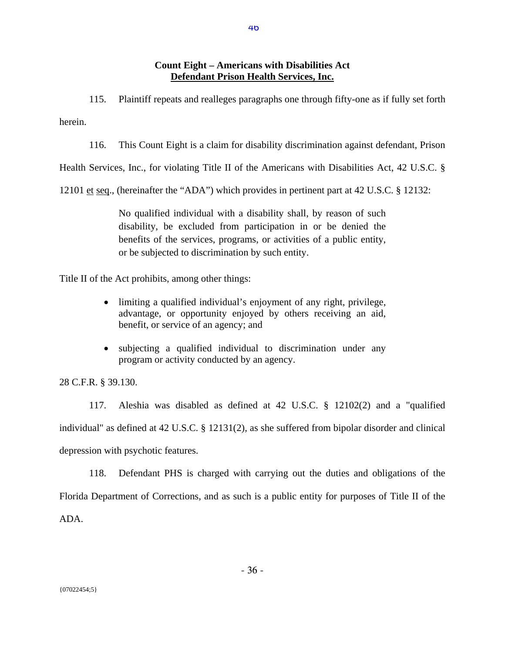## **Count Eight – Americans with Disabilities Act Defendant Prison Health Services, Inc.**

115. Plaintiff repeats and realleges paragraphs one through fifty-one as if fully set forth

herein.

116. This Count Eight is a claim for disability discrimination against defendant, Prison

Health Services, Inc., for violating Title II of the Americans with Disabilities Act, 42 U.S.C. §

12101 et seq., (hereinafter the "ADA") which provides in pertinent part at 42 U.S.C. § 12132:

No qualified individual with a disability shall, by reason of such disability, be excluded from participation in or be denied the benefits of the services, programs, or activities of a public entity, or be subjected to discrimination by such entity.

Title II of the Act prohibits, among other things:

- limiting a qualified individual's enjoyment of any right, privilege, advantage, or opportunity enjoyed by others receiving an aid, benefit, or service of an agency; and
- subjecting a qualified individual to discrimination under any program or activity conducted by an agency.

28 C.F.R. § 39.130.

117. Aleshia was disabled as defined at 42 U.S.C. § 12102(2) and a "qualified individual" as defined at 42 U.S.C. § 12131(2), as she suffered from bipolar disorder and clinical depression with psychotic features.

118. Defendant PHS is charged with carrying out the duties and obligations of the Florida Department of Corrections, and as such is a public entity for purposes of Title II of the ADA.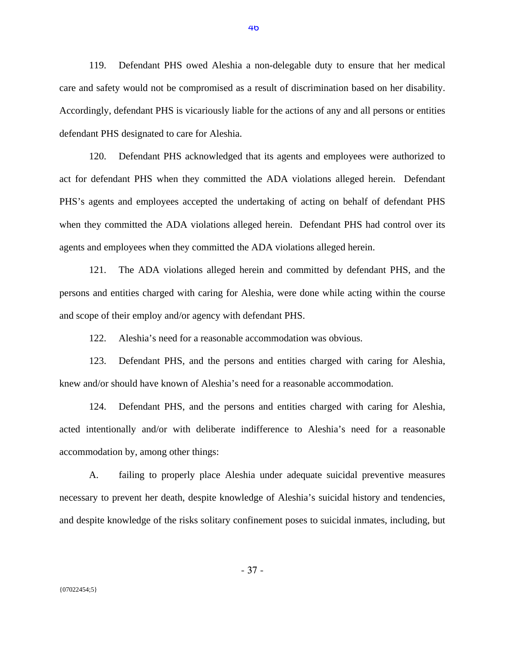119. Defendant PHS owed Aleshia a non-delegable duty to ensure that her medical care and safety would not be compromised as a result of discrimination based on her disability. Accordingly, defendant PHS is vicariously liable for the actions of any and all persons or entities defendant PHS designated to care for Aleshia.

120. Defendant PHS acknowledged that its agents and employees were authorized to act for defendant PHS when they committed the ADA violations alleged herein. Defendant PHS's agents and employees accepted the undertaking of acting on behalf of defendant PHS when they committed the ADA violations alleged herein. Defendant PHS had control over its agents and employees when they committed the ADA violations alleged herein.

121. The ADA violations alleged herein and committed by defendant PHS, and the persons and entities charged with caring for Aleshia, were done while acting within the course and scope of their employ and/or agency with defendant PHS.

122. Aleshia's need for a reasonable accommodation was obvious.

123. Defendant PHS, and the persons and entities charged with caring for Aleshia, knew and/or should have known of Aleshia's need for a reasonable accommodation.

124. Defendant PHS, and the persons and entities charged with caring for Aleshia, acted intentionally and/or with deliberate indifference to Aleshia's need for a reasonable accommodation by, among other things:

A. failing to properly place Aleshia under adequate suicidal preventive measures necessary to prevent her death, despite knowledge of Aleshia's suicidal history and tendencies, and despite knowledge of the risks solitary confinement poses to suicidal inmates, including, but

- 37 -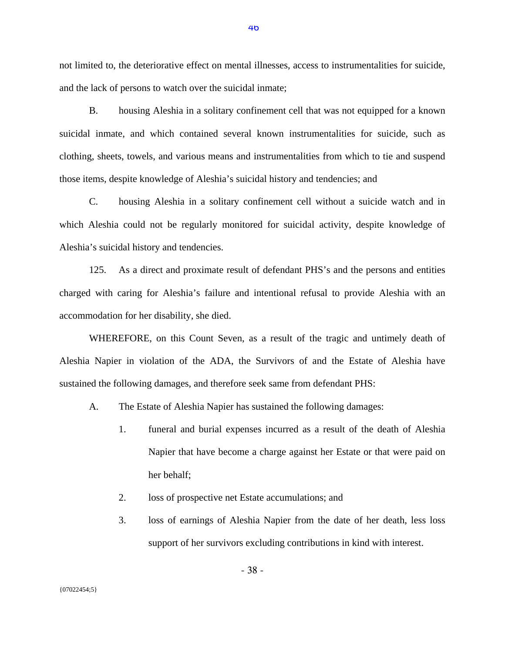not limited to, the deteriorative effect on mental illnesses, access to instrumentalities for suicide, and the lack of persons to watch over the suicidal inmate;

B. housing Aleshia in a solitary confinement cell that was not equipped for a known suicidal inmate, and which contained several known instrumentalities for suicide, such as clothing, sheets, towels, and various means and instrumentalities from which to tie and suspend those items, despite knowledge of Aleshia's suicidal history and tendencies; and

C. housing Aleshia in a solitary confinement cell without a suicide watch and in which Aleshia could not be regularly monitored for suicidal activity, despite knowledge of Aleshia's suicidal history and tendencies.

125. As a direct and proximate result of defendant PHS's and the persons and entities charged with caring for Aleshia's failure and intentional refusal to provide Aleshia with an accommodation for her disability, she died.

WHEREFORE, on this Count Seven, as a result of the tragic and untimely death of Aleshia Napier in violation of the ADA, the Survivors of and the Estate of Aleshia have sustained the following damages, and therefore seek same from defendant PHS:

- A. The Estate of Aleshia Napier has sustained the following damages:
	- 1. funeral and burial expenses incurred as a result of the death of Aleshia Napier that have become a charge against her Estate or that were paid on her behalf;
	- 2. loss of prospective net Estate accumulations; and
	- 3. loss of earnings of Aleshia Napier from the date of her death, less loss support of her survivors excluding contributions in kind with interest.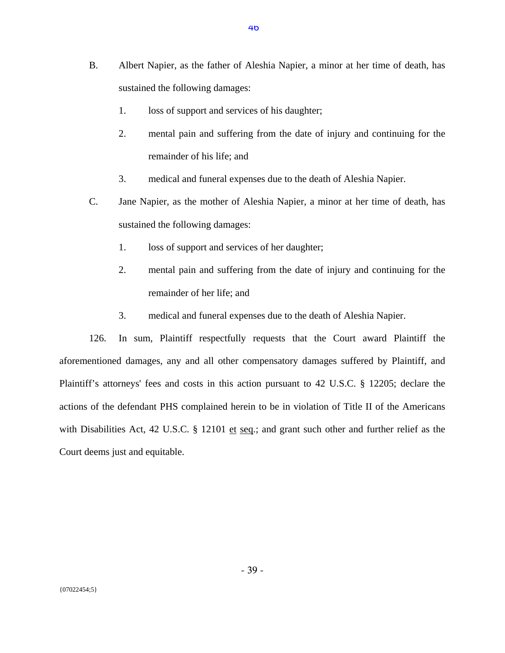- B. Albert Napier, as the father of Aleshia Napier, a minor at her time of death, has sustained the following damages:
	- 1. loss of support and services of his daughter;
	- 2. mental pain and suffering from the date of injury and continuing for the remainder of his life; and
	- 3. medical and funeral expenses due to the death of Aleshia Napier.
- C. Jane Napier, as the mother of Aleshia Napier, a minor at her time of death, has sustained the following damages:
	- 1. loss of support and services of her daughter;
	- 2. mental pain and suffering from the date of injury and continuing for the remainder of her life; and
	- 3. medical and funeral expenses due to the death of Aleshia Napier.

126. In sum, Plaintiff respectfully requests that the Court award Plaintiff the aforementioned damages, any and all other compensatory damages suffered by Plaintiff, and Plaintiff's attorneys' fees and costs in this action pursuant to 42 U.S.C. § 12205; declare the actions of the defendant PHS complained herein to be in violation of Title II of the Americans with Disabilities Act, 42 U.S.C. § 12101 et seq.; and grant such other and further relief as the Court deems just and equitable.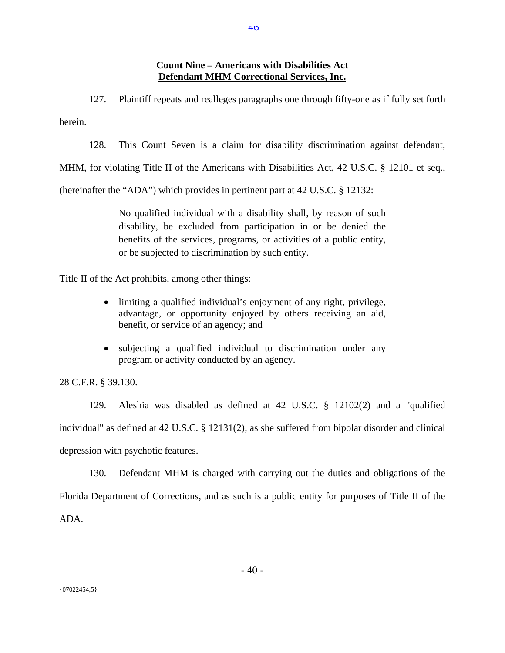## **Count Nine – Americans with Disabilities Act Defendant MHM Correctional Services, Inc.**

127. Plaintiff repeats and realleges paragraphs one through fifty-one as if fully set forth herein.

128. This Count Seven is a claim for disability discrimination against defendant,

MHM, for violating Title II of the Americans with Disabilities Act, 42 U.S.C. § 12101 et seq.,

(hereinafter the "ADA") which provides in pertinent part at 42 U.S.C. § 12132:

No qualified individual with a disability shall, by reason of such disability, be excluded from participation in or be denied the benefits of the services, programs, or activities of a public entity, or be subjected to discrimination by such entity.

Title II of the Act prohibits, among other things:

- limiting a qualified individual's enjoyment of any right, privilege, advantage, or opportunity enjoyed by others receiving an aid, benefit, or service of an agency; and
- subjecting a qualified individual to discrimination under any program or activity conducted by an agency.

28 C.F.R. § 39.130.

129. Aleshia was disabled as defined at 42 U.S.C. § 12102(2) and a "qualified individual" as defined at 42 U.S.C. § 12131(2), as she suffered from bipolar disorder and clinical depression with psychotic features.

130. Defendant MHM is charged with carrying out the duties and obligations of the Florida Department of Corrections, and as such is a public entity for purposes of Title II of the ADA.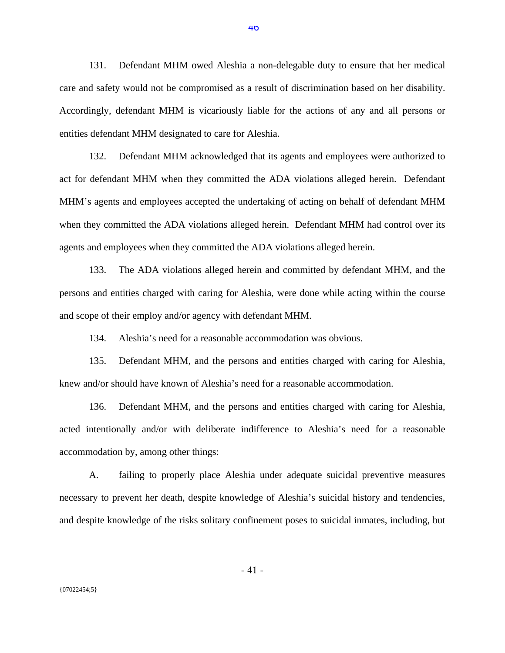131. Defendant MHM owed Aleshia a non-delegable duty to ensure that her medical care and safety would not be compromised as a result of discrimination based on her disability. Accordingly, defendant MHM is vicariously liable for the actions of any and all persons or entities defendant MHM designated to care for Aleshia.

132. Defendant MHM acknowledged that its agents and employees were authorized to act for defendant MHM when they committed the ADA violations alleged herein. Defendant MHM's agents and employees accepted the undertaking of acting on behalf of defendant MHM when they committed the ADA violations alleged herein. Defendant MHM had control over its agents and employees when they committed the ADA violations alleged herein.

133. The ADA violations alleged herein and committed by defendant MHM, and the persons and entities charged with caring for Aleshia, were done while acting within the course and scope of their employ and/or agency with defendant MHM.

134. Aleshia's need for a reasonable accommodation was obvious.

135. Defendant MHM, and the persons and entities charged with caring for Aleshia, knew and/or should have known of Aleshia's need for a reasonable accommodation.

136. Defendant MHM, and the persons and entities charged with caring for Aleshia, acted intentionally and/or with deliberate indifference to Aleshia's need for a reasonable accommodation by, among other things:

A. failing to properly place Aleshia under adequate suicidal preventive measures necessary to prevent her death, despite knowledge of Aleshia's suicidal history and tendencies, and despite knowledge of the risks solitary confinement poses to suicidal inmates, including, but

- 41 -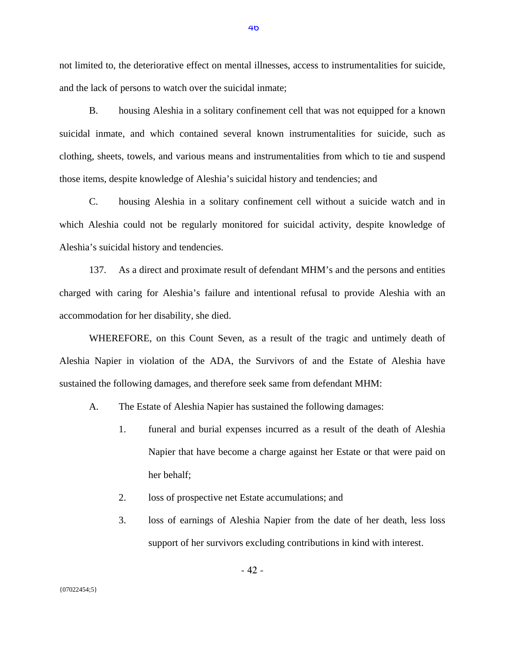not limited to, the deteriorative effect on mental illnesses, access to instrumentalities for suicide, and the lack of persons to watch over the suicidal inmate;

B. housing Aleshia in a solitary confinement cell that was not equipped for a known suicidal inmate, and which contained several known instrumentalities for suicide, such as clothing, sheets, towels, and various means and instrumentalities from which to tie and suspend those items, despite knowledge of Aleshia's suicidal history and tendencies; and

C. housing Aleshia in a solitary confinement cell without a suicide watch and in which Aleshia could not be regularly monitored for suicidal activity, despite knowledge of Aleshia's suicidal history and tendencies.

137. As a direct and proximate result of defendant MHM's and the persons and entities charged with caring for Aleshia's failure and intentional refusal to provide Aleshia with an accommodation for her disability, she died.

WHEREFORE, on this Count Seven, as a result of the tragic and untimely death of Aleshia Napier in violation of the ADA, the Survivors of and the Estate of Aleshia have sustained the following damages, and therefore seek same from defendant MHM:

- A. The Estate of Aleshia Napier has sustained the following damages:
	- 1. funeral and burial expenses incurred as a result of the death of Aleshia Napier that have become a charge against her Estate or that were paid on her behalf;
	- 2. loss of prospective net Estate accumulations; and
	- 3. loss of earnings of Aleshia Napier from the date of her death, less loss support of her survivors excluding contributions in kind with interest.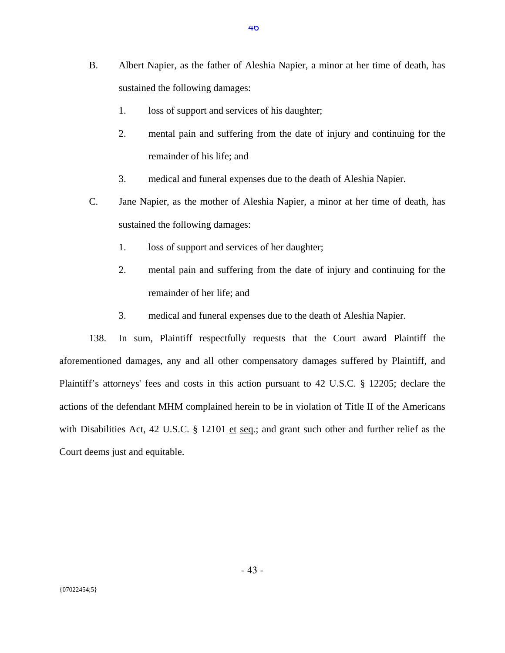- B. Albert Napier, as the father of Aleshia Napier, a minor at her time of death, has sustained the following damages:
	- 1. loss of support and services of his daughter;
	- 2. mental pain and suffering from the date of injury and continuing for the remainder of his life; and
	- 3. medical and funeral expenses due to the death of Aleshia Napier.
- C. Jane Napier, as the mother of Aleshia Napier, a minor at her time of death, has sustained the following damages:
	- 1. loss of support and services of her daughter;
	- 2. mental pain and suffering from the date of injury and continuing for the remainder of her life; and
	- 3. medical and funeral expenses due to the death of Aleshia Napier.

138. In sum, Plaintiff respectfully requests that the Court award Plaintiff the aforementioned damages, any and all other compensatory damages suffered by Plaintiff, and Plaintiff's attorneys' fees and costs in this action pursuant to 42 U.S.C. § 12205; declare the actions of the defendant MHM complained herein to be in violation of Title II of the Americans with Disabilities Act, 42 U.S.C. § 12101 et seq.; and grant such other and further relief as the Court deems just and equitable.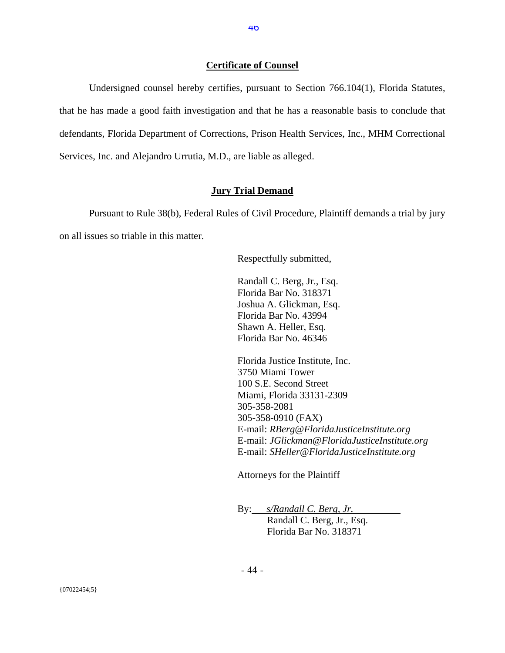#### **Certificate of Counsel**

 Undersigned counsel hereby certifies, pursuant to Section 766.104(1), Florida Statutes, that he has made a good faith investigation and that he has a reasonable basis to conclude that defendants, Florida Department of Corrections, Prison Health Services, Inc., MHM Correctional Services, Inc. and Alejandro Urrutia, M.D., are liable as alleged.

## **Jury Trial Demand**

 Pursuant to Rule 38(b), Federal Rules of Civil Procedure, Plaintiff demands a trial by jury on all issues so triable in this matter.

Respectfully submitted,

Randall C. Berg, Jr., Esq. Florida Bar No. 318371 Joshua A. Glickman, Esq. Florida Bar No. 43994 Shawn A. Heller, Esq. Florida Bar No. 46346

 Florida Justice Institute, Inc. 3750 Miami Tower 100 S.E. Second Street Miami, Florida 33131-2309 305-358-2081 305-358-0910 (FAX) E-mail: *RBerg@FloridaJusticeInstitute.org* E-mail: *JGlickman@FloridaJusticeInstitute.org*  E-mail: *SHeller@FloridaJusticeInstitute.org* 

Attorneys for the Plaintiff

By: *s/Randall C. Berg, Jr.* 

 Randall C. Berg, Jr., Esq. Florida Bar No. 318371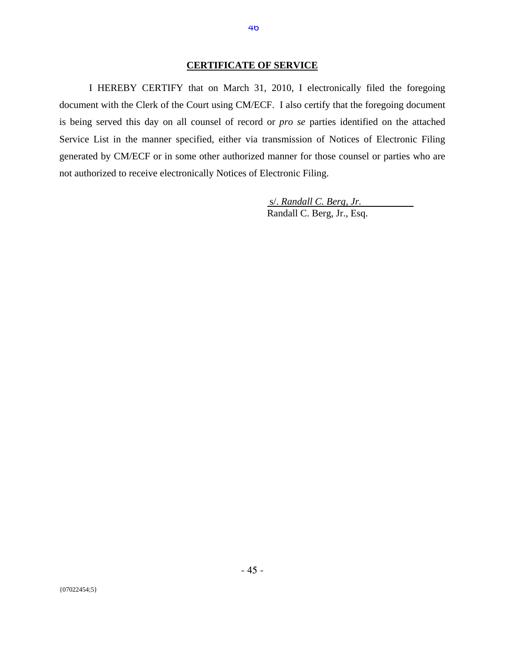#### **CERTIFICATE OF SERVICE**

I HEREBY CERTIFY that on March 31, 2010, I electronically filed the foregoing document with the Clerk of the Court using CM/ECF. I also certify that the foregoing document is being served this day on all counsel of record or *pro se* parties identified on the attached Service List in the manner specified, either via transmission of Notices of Electronic Filing generated by CM/ECF or in some other authorized manner for those counsel or parties who are not authorized to receive electronically Notices of Electronic Filing.

> s/. *Randall C. Berg, Jr. .* Randall C. Berg, Jr., Esq.